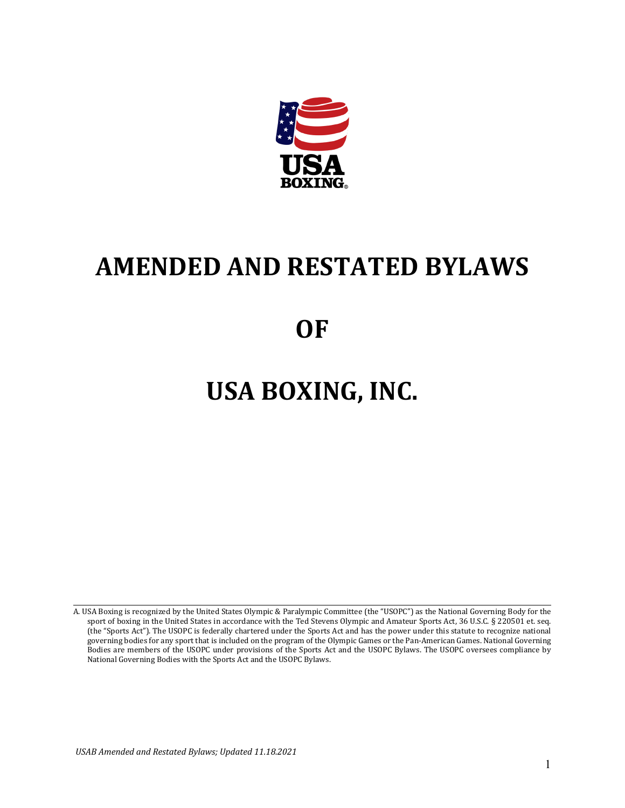

# **AMENDED AND RESTATED BYLAWS**

# **OF**

# **USA BOXING, INC.**

A. USA Boxing is recognized by the United States Olympic & Paralympic Committee (the "USOPC") as the National Governing Body for the sport of boxing in the United States in accordance with the Ted Stevens Olympic and Amateur Sports Act, 36 U.S.C. § 220501 et. seq. (the "Sports Act"). The USOPC is federally chartered under the Sports Act and has the power under this statute to recognize national governing bodies for any sport that is included on the program of the Olympic Games or the Pan-American Games. National Governing Bodies are members of the USOPC under provisions of the Sports Act and the USOPC Bylaws. The USOPC oversees compliance by National Governing Bodies with the Sports Act and the USOPC Bylaws.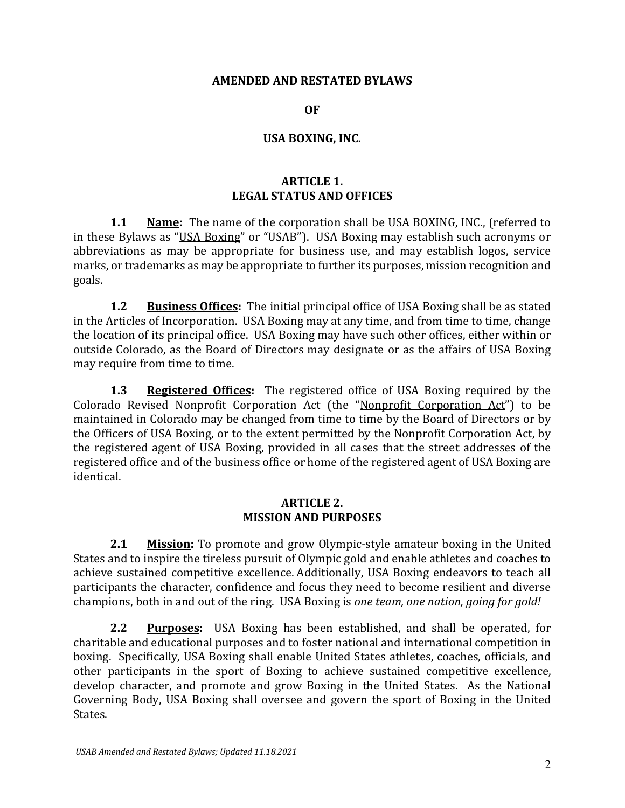#### **AMENDED AND RESTATED BYLAWS**

#### **OF**

#### **USA BOXING, INC.**

#### **ARTICLE 1. LEGAL STATUS AND OFFICES**

**1.1 Name:** The name of the corporation shall be USA BOXING, INC., (referred to in these Bylaws as "USA Boxing" or "USAB"). USA Boxing may establish such acronyms or abbreviations as may be appropriate for business use, and may establish logos, service marks, or trademarks as may be appropriate to further its purposes, mission recognition and goals.

**1.2 Business Offices:** The initial principal office of USA Boxing shall be as stated in the Articles of Incorporation. USA Boxing may at any time, and from time to time, change the location of its principal office. USA Boxing may have such other offices, either within or outside Colorado, as the Board of Directors may designate or as the affairs of USA Boxing may require from time to time.

**1.3 Registered Offices:** The registered office of USA Boxing required by the Colorado Revised Nonprofit Corporation Act (the "Nonprofit Corporation Act") to be maintained in Colorado may be changed from time to time by the Board of Directors or by the Officers of USA Boxing, or to the extent permitted by the Nonprofit Corporation Act, by the registered agent of USA Boxing, provided in all cases that the street addresses of the registered office and of the business office or home of the registered agent of USA Boxing are identical.

#### **ARTICLE 2. MISSION AND PURPOSES**

**2.1 Mission:** To promote and grow Olympic-style amateur boxing in the United States and to inspire the tireless pursuit of Olympic gold and enable athletes and coaches to achieve sustained competitive excellence. Additionally, USA Boxing endeavors to teach all participants the character, confidence and focus they need to become resilient and diverse champions, both in and out of the ring. USA Boxing is *one team, one nation, going for gold!*

**2.2 Purposes:** USA Boxing has been established, and shall be operated, for charitable and educational purposes and to foster national and international competition in boxing. Specifically, USA Boxing shall enable United States athletes, coaches, officials, and other participants in the sport of Boxing to achieve sustained competitive excellence, develop character, and promote and grow Boxing in the United States. As the National Governing Body, USA Boxing shall oversee and govern the sport of Boxing in the United States.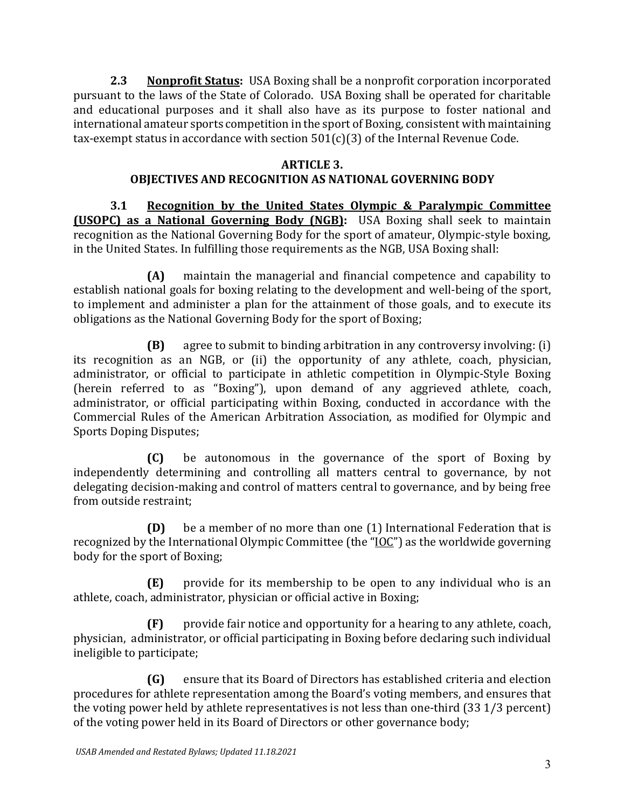**2.3 Nonprofit Status:** USA Boxing shall be a nonprofit corporation incorporated pursuant to the laws of the State of Colorado. USA Boxing shall be operated for charitable and educational purposes and it shall also have as its purpose to foster national and international amateur sports competition in the sport of Boxing, consistent with maintaining tax-exempt status in accordance with section  $501(c)(3)$  of the Internal Revenue Code.

## **ARTICLE 3.**

## **OBJECTIVES AND RECOGNITION AS NATIONAL GOVERNING BODY**

**3.1 Recognition by the United States Olympic & Paralympic Committee (USOPC) as a National Governing Body (NGB):** USA Boxing shall seek to maintain recognition as the National Governing Body for the sport of amateur, Olympic-style boxing, in the United States. In fulfilling those requirements as the NGB, USA Boxing shall:

**(A)** maintain the managerial and financial competence and capability to establish national goals for boxing relating to the development and well-being of the sport, to implement and administer a plan for the attainment of those goals, and to execute its obligations as the National Governing Body for the sport of Boxing;

**(B)** agree to submit to binding arbitration in any controversy involving: (i) its recognition as an NGB, or (ii) the opportunity of any athlete, coach, physician, administrator, or official to participate in athletic competition in Olympic-Style Boxing (herein referred to as "Boxing"), upon demand of any aggrieved athlete, coach, administrator, or official participating within Boxing, conducted in accordance with the Commercial Rules of the American Arbitration Association, as modified for Olympic and Sports Doping Disputes;

**(C)** be autonomous in the governance of the sport of Boxing by independently determining and controlling all matters central to governance, by not delegating decision-making and control of matters central to governance, and by being free from outside restraint;

**(D)** be a member of no more than one (1) International Federation that is recognized by the International Olympic Committee (the "IOC") as the worldwide governing body for the sport of Boxing;

**(E)** provide for its membership to be open to any individual who is an athlete, coach, administrator, physician or official active in Boxing;

**(F)** provide fair notice and opportunity for a hearing to any athlete, coach, physician, administrator, or official participating in Boxing before declaring such individual ineligible to participate;

**(G)** ensure that its Board of Directors has established criteria and election procedures for athlete representation among the Board's voting members, and ensures that the voting power held by athlete representatives is not less than one-third (33 1/3 percent) of the voting power held in its Board of Directors or other governance body;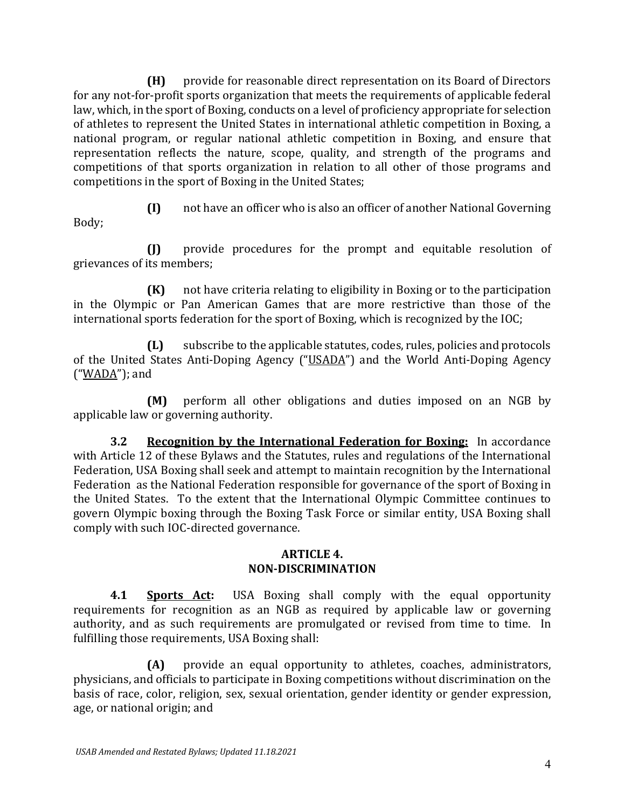**(H)** provide for reasonable direct representation on its Board of Directors for any not-for-profit sports organization that meets the requirements of applicable federal law, which, in the sport of Boxing, conducts on a level of proficiency appropriate for selection of athletes to represent the United States in international athletic competition in Boxing, a national program, or regular national athletic competition in Boxing, and ensure that representation reflects the nature, scope, quality, and strength of the programs and competitions of that sports organization in relation to all other of those programs and competitions in the sport of Boxing in the United States;

Body;

**(I)** not have an officer who is also an officer of another National Governing

**(J)** provide procedures for the prompt and equitable resolution of grievances of its members;

**(K)** not have criteria relating to eligibility in Boxing or to the participation in the Olympic or Pan American Games that are more restrictive than those of the international sports federation for the sport of Boxing, which is recognized by the IOC;

**(L)** subscribe to the applicable statutes, codes, rules, policies and protocols of the United States Anti-Doping Agency ("USADA") and the World Anti-Doping Agency ("WADA"); and

**(M)** perform all other obligations and duties imposed on an NGB by applicable law or governing authority.

**3.2 Recognition by the International Federation for Boxing:** In accordance with Article 12 of these Bylaws and the Statutes, rules and regulations of the International Federation, USA Boxing shall seek and attempt to maintain recognition by the International Federation as the National Federation responsible for governance of the sport of Boxing in the United States. To the extent that the International Olympic Committee continues to govern Olympic boxing through the Boxing Task Force or similar entity, USA Boxing shall comply with such IOC-directed governance.

### **ARTICLE 4. NON-DISCRIMINATION**

**4.1 Sports Act:** USA Boxing shall comply with the equal opportunity requirements for recognition as an NGB as required by applicable law or governing authority, and as such requirements are promulgated or revised from time to time. In fulfilling those requirements, USA Boxing shall:

**(A)** provide an equal opportunity to athletes, coaches, administrators, physicians, and officials to participate in Boxing competitions without discrimination on the basis of race, color, religion, sex, sexual orientation, gender identity or gender expression, age, or national origin; and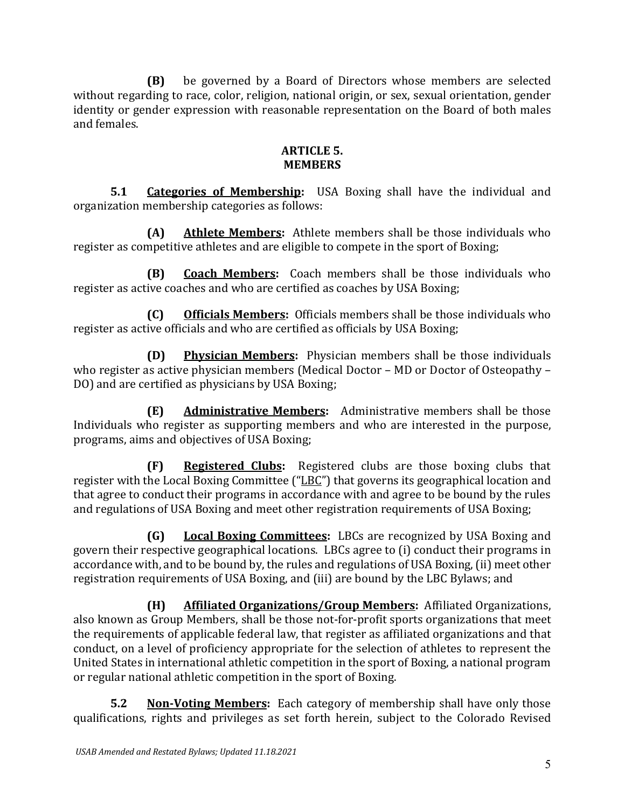**(B)** be governed by a Board of Directors whose members are selected without regarding to race, color, religion, national origin, or sex, sexual orientation, gender identity or gender expression with reasonable representation on the Board of both males and females.

### **ARTICLE 5. MEMBERS**

**5.1 Categories of Membership:** USA Boxing shall have the individual and organization membership categories as follows:

**(A) Athlete Members:** Athlete members shall be those individuals who register as competitive athletes and are eligible to compete in the sport of Boxing;

**(B) Coach Members:** Coach members shall be those individuals who register as active coaches and who are certified as coaches by USA Boxing;

**(C) Officials Members:** Officials members shall be those individuals who register as active officials and who are certified as officials by USA Boxing;

**(D) Physician Members:** Physician members shall be those individuals who register as active physician members (Medical Doctor – MD or Doctor of Osteopathy – DO) and are certified as physicians by USA Boxing;

**(E) Administrative Members:** Administrative members shall be those Individuals who register as supporting members and who are interested in the purpose, programs, aims and objectives of USA Boxing;

**(F) Registered Clubs:** Registered clubs are those boxing clubs that register with the Local Boxing Committee ("LBC") that governs its geographical location and that agree to conduct their programs in accordance with and agree to be bound by the rules and regulations of USA Boxing and meet other registration requirements of USA Boxing;

**(G) Local Boxing Committees:** LBCs are recognized by USA Boxing and govern their respective geographical locations. LBCs agree to (i) conduct their programs in accordance with, and to be bound by, the rules and regulations of USA Boxing, (ii) meet other registration requirements of USA Boxing, and (iii) are bound by the LBC Bylaws; and

**(H) Affiliated Organizations/Group Members:** Affiliated Organizations, also known as Group Members, shall be those not-for-profit sports organizations that meet the requirements of applicable federal law, that register as affiliated organizations and that conduct, on a level of proficiency appropriate for the selection of athletes to represent the United States in international athletic competition in the sport of Boxing, a national program or regular national athletic competition in the sport of Boxing.

**5.2 Non-Voting Members:** Each category of membership shall have only those qualifications, rights and privileges as set forth herein, subject to the Colorado Revised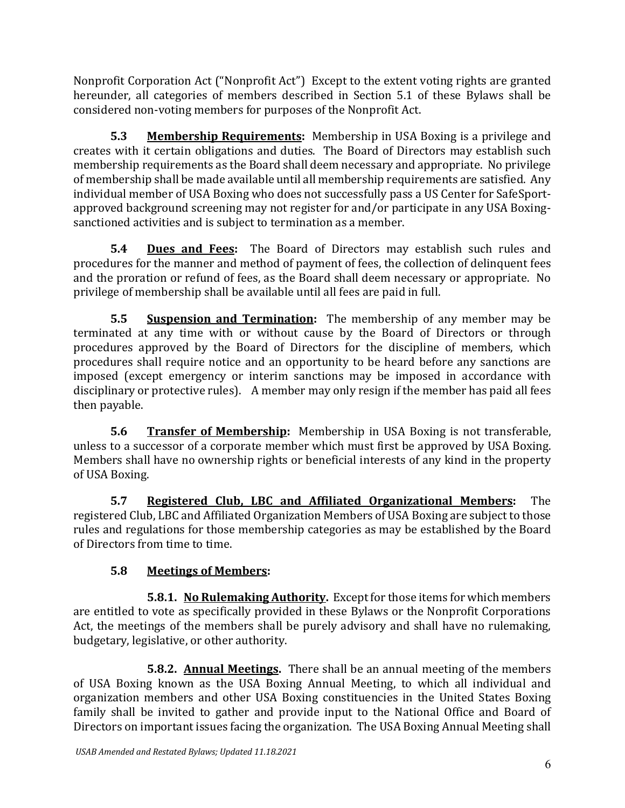Nonprofit Corporation Act ("Nonprofit Act") Except to the extent voting rights are granted hereunder, all categories of members described in Section 5.1 of these Bylaws shall be considered non-voting members for purposes of the Nonprofit Act.

**5.3 Membership Requirements:** Membership in USA Boxing is a privilege and creates with it certain obligations and duties. The Board of Directors may establish such membership requirements as the Board shall deem necessary and appropriate. No privilege of membership shall be made available until all membership requirements are satisfied. Any individual member of USA Boxing who does not successfully pass a US Center for SafeSportapproved background screening may not register for and/or participate in any USA Boxingsanctioned activities and is subject to termination as a member.

**5.4 Dues and Fees:** The Board of Directors may establish such rules and procedures for the manner and method of payment of fees, the collection of delinquent fees and the proration or refund of fees, as the Board shall deem necessary or appropriate. No privilege of membership shall be available until all fees are paid in full.

**5.5 Suspension and Termination:** The membership of any member may be terminated at any time with or without cause by the Board of Directors or through procedures approved by the Board of Directors for the discipline of members, which procedures shall require notice and an opportunity to be heard before any sanctions are imposed (except emergency or interim sanctions may be imposed in accordance with disciplinary or protective rules). A member may only resign if the member has paid all fees then payable.

**5.6 Transfer of Membership:** Membership in USA Boxing is not transferable, unless to a successor of a corporate member which must first be approved by USA Boxing. Members shall have no ownership rights or beneficial interests of any kind in the property of USA Boxing.

**5.7 Registered Club, LBC and Affiliated Organizational Members:** The registered Club, LBC and Affiliated Organization Members of USA Boxing are subject to those rules and regulations for those membership categories as may be established by the Board of Directors from time to time.

# **5.8 Meetings of Members:**

**5.8.1. No Rulemaking Authority.** Except for those items for which members are entitled to vote as specifically provided in these Bylaws or the Nonprofit Corporations Act, the meetings of the members shall be purely advisory and shall have no rulemaking, budgetary, legislative, or other authority.

**5.8.2. Annual Meetings.** There shall be an annual meeting of the members of USA Boxing known as the USA Boxing Annual Meeting, to which all individual and organization members and other USA Boxing constituencies in the United States Boxing family shall be invited to gather and provide input to the National Office and Board of Directors on important issues facing the organization. The USA Boxing Annual Meeting shall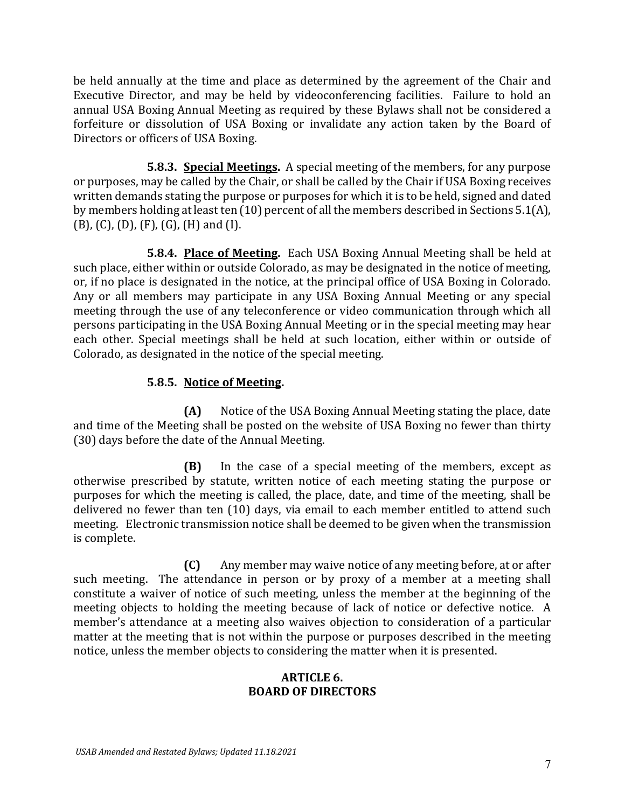be held annually at the time and place as determined by the agreement of the Chair and Executive Director, and may be held by videoconferencing facilities. Failure to hold an annual USA Boxing Annual Meeting as required by these Bylaws shall not be considered a forfeiture or dissolution of USA Boxing or invalidate any action taken by the Board of Directors or officers of USA Boxing.

**5.8.3. Special Meetings.** A special meeting of the members, for any purpose or purposes, may be called by the Chair, or shall be called by the Chair if USA Boxing receives written demands stating the purpose or purposes for which it is to be held, signed and dated by members holding at least ten (10) percent of all the members described in Sections 5.1(A), (B), (C), (D), (F), (G), (H) and (I).

**5.8.4. Place of Meeting.** Each USA Boxing Annual Meeting shall be held at such place, either within or outside Colorado, as may be designated in the notice of meeting, or, if no place is designated in the notice, at the principal office of USA Boxing in Colorado. Any or all members may participate in any USA Boxing Annual Meeting or any special meeting through the use of any teleconference or video communication through which all persons participating in the USA Boxing Annual Meeting or in the special meeting may hear each other. Special meetings shall be held at such location, either within or outside of Colorado, as designated in the notice of the special meeting.

## **5.8.5. Notice of Meeting.**

**(A)** Notice of the USA Boxing Annual Meeting stating the place, date and time of the Meeting shall be posted on the website of USA Boxing no fewer than thirty (30) days before the date of the Annual Meeting.

**(B)** In the case of a special meeting of the members, except as otherwise prescribed by statute, written notice of each meeting stating the purpose or purposes for which the meeting is called, the place, date, and time of the meeting, shall be delivered no fewer than ten (10) days, via email to each member entitled to attend such meeting. Electronic transmission notice shall be deemed to be given when the transmission is complete.

**(C)** Any member may waive notice of any meeting before, at or after such meeting. The attendance in person or by proxy of a member at a meeting shall constitute a waiver of notice of such meeting, unless the member at the beginning of the meeting objects to holding the meeting because of lack of notice or defective notice. A member's attendance at a meeting also waives objection to consideration of a particular matter at the meeting that is not within the purpose or purposes described in the meeting notice, unless the member objects to considering the matter when it is presented.

#### **ARTICLE 6. BOARD OF DIRECTORS**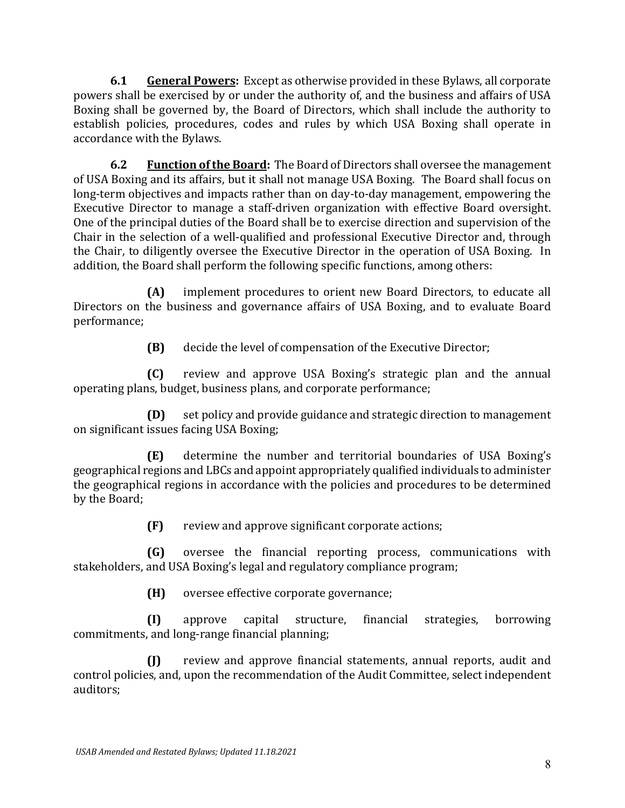**6.1 General Powers:** Except as otherwise provided in these Bylaws, all corporate powers shall be exercised by or under the authority of, and the business and affairs of USA Boxing shall be governed by, the Board of Directors, which shall include the authority to establish policies, procedures, codes and rules by which USA Boxing shall operate in accordance with the Bylaws.

**6.2 Function of the Board:** The Board of Directors shall oversee the management of USA Boxing and its affairs, but it shall not manage USA Boxing. The Board shall focus on long-term objectives and impacts rather than on day-to-day management, empowering the Executive Director to manage a staff-driven organization with effective Board oversight. One of the principal duties of the Board shall be to exercise direction and supervision of the Chair in the selection of a well-qualified and professional Executive Director and, through the Chair, to diligently oversee the Executive Director in the operation of USA Boxing. In addition, the Board shall perform the following specific functions, among others:

**(A)** implement procedures to orient new Board Directors, to educate all Directors on the business and governance affairs of USA Boxing, and to evaluate Board performance;

**(B)** decide the level of compensation of the Executive Director;

**(C)** review and approve USA Boxing's strategic plan and the annual operating plans, budget, business plans, and corporate performance;

**(D)** set policy and provide guidance and strategic direction to management on significant issues facing USA Boxing;

**(E)** determine the number and territorial boundaries of USA Boxing's geographical regions and LBCs and appoint appropriately qualified individuals to administer the geographical regions in accordance with the policies and procedures to be determined by the Board;

**(F)** review and approve significant corporate actions;

**(G)** oversee the financial reporting process, communications with stakeholders, and USA Boxing's legal and regulatory compliance program;

**(H)** oversee effective corporate governance;

**(I)** approve capital structure, financial strategies, borrowing commitments, and long-range financial planning;

**(J)** review and approve financial statements, annual reports, audit and control policies, and, upon the recommendation of the Audit Committee, select independent auditors;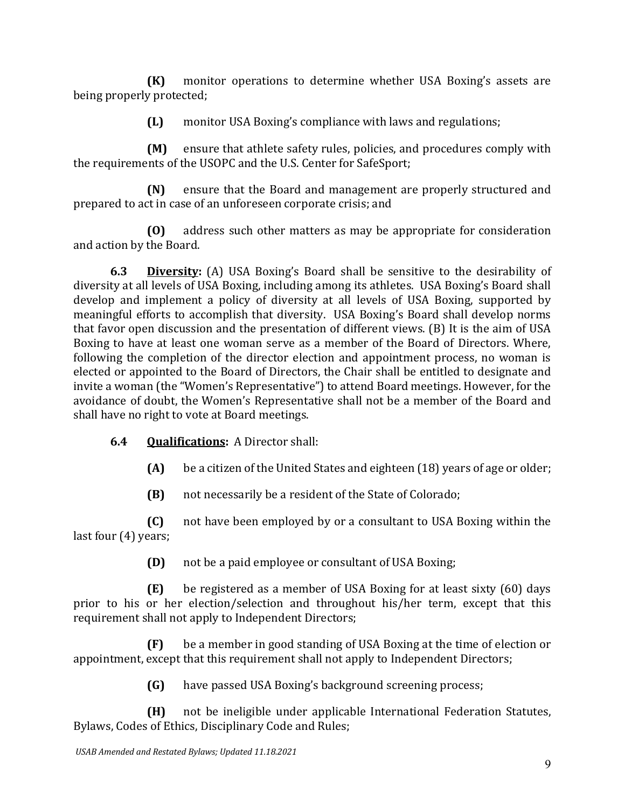**(K)** monitor operations to determine whether USA Boxing's assets are being properly protected;

**(L)** monitor USA Boxing's compliance with laws and regulations;

**(M)** ensure that athlete safety rules, policies, and procedures comply with the requirements of the USOPC and the U.S. Center for SafeSport;

**(N)** ensure that the Board and management are properly structured and prepared to act in case of an unforeseen corporate crisis; and

**(O)** address such other matters as may be appropriate for consideration and action by the Board.

**6.3 Diversity:** (A) USA Boxing's Board shall be sensitive to the desirability of diversity at all levels of USA Boxing, including among its athletes. USA Boxing's Board shall develop and implement a policy of diversity at all levels of USA Boxing, supported by meaningful efforts to accomplish that diversity. USA Boxing's Board shall develop norms that favor open discussion and the presentation of different views. (B) It is the aim of USA Boxing to have at least one woman serve as a member of the Board of Directors. Where, following the completion of the director election and appointment process, no woman is elected or appointed to the Board of Directors, the Chair shall be entitled to designate and invite a woman (the "Women's Representative") to attend Board meetings. However, for the avoidance of doubt, the Women's Representative shall not be a member of the Board and shall have no right to vote at Board meetings.

## **6.4 Qualifications:** A Director shall:

- **(A)** be a citizen of the United States and eighteen (18) years of age or older;
- **(B)** not necessarily be a resident of the State of Colorado;

**(C)** not have been employed by or a consultant to USA Boxing within the last four (4) years;

**(D)** not be a paid employee or consultant of USA Boxing;

**(E)** be registered as a member of USA Boxing for at least sixty (60) days prior to his or her election/selection and throughout his/her term, except that this requirement shall not apply to Independent Directors;

**(F)** be a member in good standing of USA Boxing at the time of election or appointment, except that this requirement shall not apply to Independent Directors;

**(G)** have passed USA Boxing's background screening process;

**(H)** not be ineligible under applicable International Federation Statutes, Bylaws, Codes of Ethics, Disciplinary Code and Rules;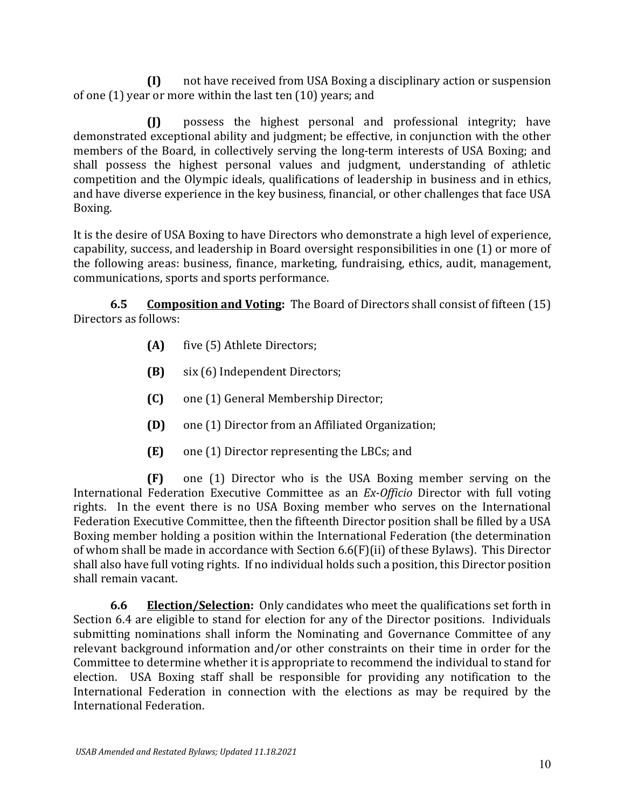**(I)** not have received from USA Boxing a disciplinary action or suspension of one (1) year or more within the last ten (10) years; and

**(J)** possess the highest personal and professional integrity; have demonstrated exceptional ability and judgment; be effective, in conjunction with the other members of the Board, in collectively serving the long-term interests of USA Boxing; and shall possess the highest personal values and judgment, understanding of athletic competition and the Olympic ideals, qualifications of leadership in business and in ethics, and have diverse experience in the key business, financial, or other challenges that face USA Boxing.

It is the desire of USA Boxing to have Directors who demonstrate a high level of experience, capability, success, and leadership in Board oversight responsibilities in one (1) or more of the following areas: business, finance, marketing, fundraising, ethics, audit, management, communications, sports and sports performance.

**6.5 Composition and Voting:** The Board of Directors shall consist of fifteen (15) Directors as follows:

- **(A)** five (5) Athlete Directors;
- **(B)** six (6) Independent Directors;
- **(C)** one (1) General Membership Director;
- **(D)** one (1) Director from an Affiliated Organization;
- **(E)** one (1) Director representing the LBCs; and

**(F)** one (1) Director who is the USA Boxing member serving on the International Federation Executive Committee as an *Ex-Officio* Director with full voting rights. In the event there is no USA Boxing member who serves on the International Federation Executive Committee, then the fifteenth Director position shall be filled by a USA Boxing member holding a position within the International Federation (the determination of whom shall be made in accordance with Section 6.6(F)(ii) of these Bylaws). This Director shall also have full voting rights. If no individual holds such a position, this Director position shall remain vacant.

**6.6 Election/Selection:** Only candidates who meet the qualifications set forth in Section 6.4 are eligible to stand for election for any of the Director positions. Individuals submitting nominations shall inform the Nominating and Governance Committee of any relevant background information and/or other constraints on their time in order for the Committee to determine whether it is appropriate to recommend the individual to stand for election. USA Boxing staff shall be responsible for providing any notification to the International Federation in connection with the elections as may be required by the International Federation.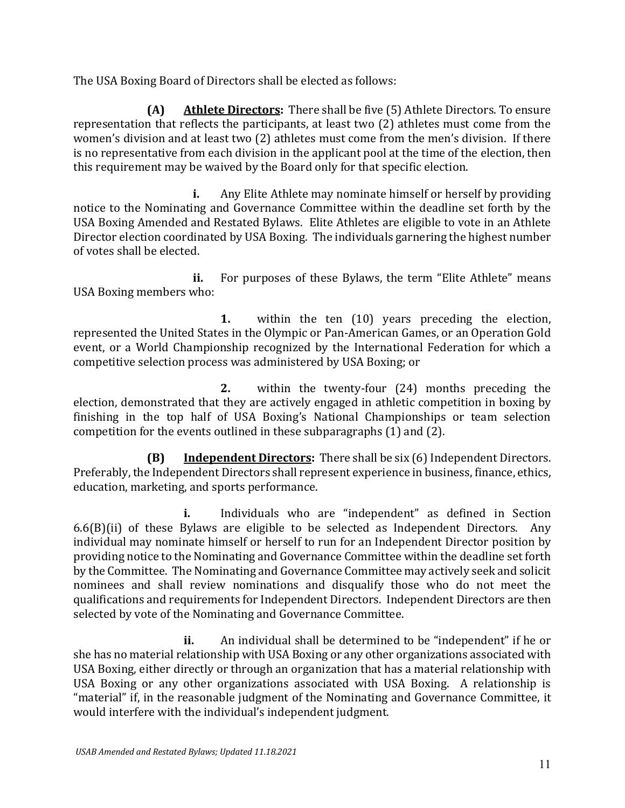The USA Boxing Board of Directors shall be elected as follows:

**(A) Athlete Directors:** There shall be five (5) Athlete Directors. To ensure representation that reflects the participants, at least two (2) athletes must come from the women's division and at least two (2) athletes must come from the men's division. If there is no representative from each division in the applicant pool at the time of the election, then this requirement may be waived by the Board only for that specific election.

**i.** Any Elite Athlete may nominate himself or herself by providing notice to the Nominating and Governance Committee within the deadline set forth by the USA Boxing Amended and Restated Bylaws. Elite Athletes are eligible to vote in an Athlete Director election coordinated by USA Boxing. The individuals garnering the highest number of votes shall be elected.

**ii.** For purposes of these Bylaws, the term "Elite Athlete" means USA Boxing members who:

**1.** within the ten (10) years preceding the election, represented the United States in the Olympic or Pan-American Games, or an Operation Gold event, or a World Championship recognized by the International Federation for which a competitive selection process was administered by USA Boxing; or

**2.** within the twenty-four (24) months preceding the election, demonstrated that they are actively engaged in athletic competition in boxing by finishing in the top half of USA Boxing's National Championships or team selection competition for the events outlined in these subparagraphs (1) and (2).

**(B) Independent Directors:** There shall be six (6) Independent Directors. Preferably, the Independent Directors shall represent experience in business, finance, ethics, education, marketing, and sports performance.

**i.** Individuals who are "independent" as defined in Section 6.6(B)(ii) of these Bylaws are eligible to be selected as Independent Directors. Any individual may nominate himself or herself to run for an Independent Director position by providing notice to the Nominating and Governance Committee within the deadline set forth by the Committee. The Nominating and Governance Committee may actively seek and solicit nominees and shall review nominations and disqualify those who do not meet the qualifications and requirements for Independent Directors. Independent Directors are then selected by vote of the Nominating and Governance Committee.

**ii.** An individual shall be determined to be "independent" if he or she has no material relationship with USA Boxing or any other organizations associated with USA Boxing, either directly or through an organization that has a material relationship with USA Boxing or any other organizations associated with USA Boxing. A relationship is "material" if, in the reasonable judgment of the Nominating and Governance Committee, it would interfere with the individual's independent judgment.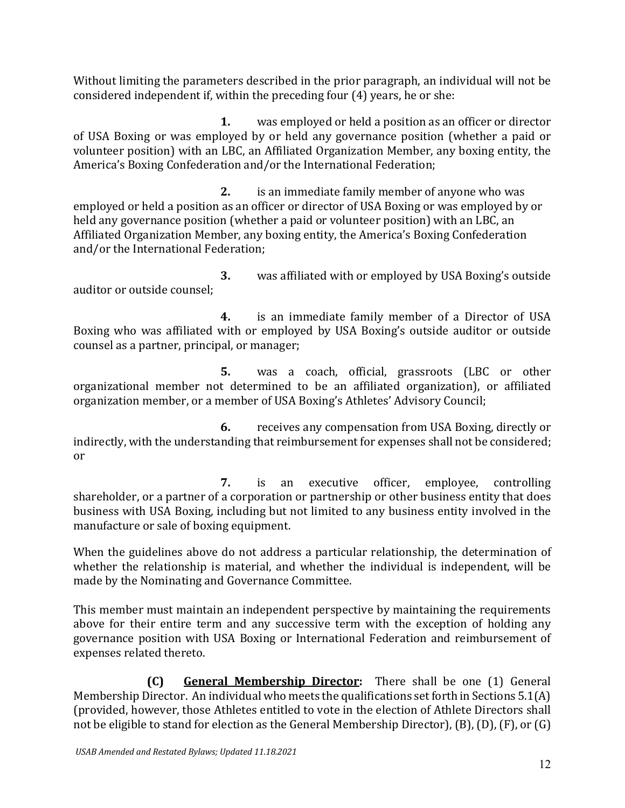Without limiting the parameters described in the prior paragraph, an individual will not be considered independent if, within the preceding four (4) years, he or she:

**1.** was employed or held a position as an officer or director of USA Boxing or was employed by or held any governance position (whether a paid or volunteer position) with an LBC, an Affiliated Organization Member, any boxing entity, the America's Boxing Confederation and/or the International Federation;

**2.** is an immediate family member of anyone who was employed or held a position as an officer or director of USA Boxing or was employed by or held any governance position (whether a paid or volunteer position) with an LBC, an Affiliated Organization Member, any boxing entity, the America's Boxing Confederation and/or the International Federation;

**3.** was affiliated with or employed by USA Boxing's outside auditor or outside counsel;

**4.** is an immediate family member of a Director of USA Boxing who was affiliated with or employed by USA Boxing's outside auditor or outside counsel as a partner, principal, or manager;

**5.** was a coach, official, grassroots (LBC or other organizational member not determined to be an affiliated organization), or affiliated organization member, or a member of USA Boxing's Athletes' Advisory Council;

**6.** receives any compensation from USA Boxing, directly or indirectly, with the understanding that reimbursement for expenses shall not be considered; or

**7.** is an executive officer, employee, controlling shareholder, or a partner of a corporation or partnership or other business entity that does business with USA Boxing, including but not limited to any business entity involved in the manufacture or sale of boxing equipment.

When the guidelines above do not address a particular relationship, the determination of whether the relationship is material, and whether the individual is independent, will be made by the Nominating and Governance Committee.

This member must maintain an independent perspective by maintaining the requirements above for their entire term and any successive term with the exception of holding any governance position with USA Boxing or International Federation and reimbursement of expenses related thereto.

**(C) General Membership Director:** There shall be one (1) General Membership Director. An individual who meets the qualifications set forth in Sections 5.1(A) (provided, however, those Athletes entitled to vote in the election of Athlete Directors shall not be eligible to stand for election as the General Membership Director), (B), (D), (F), or (G)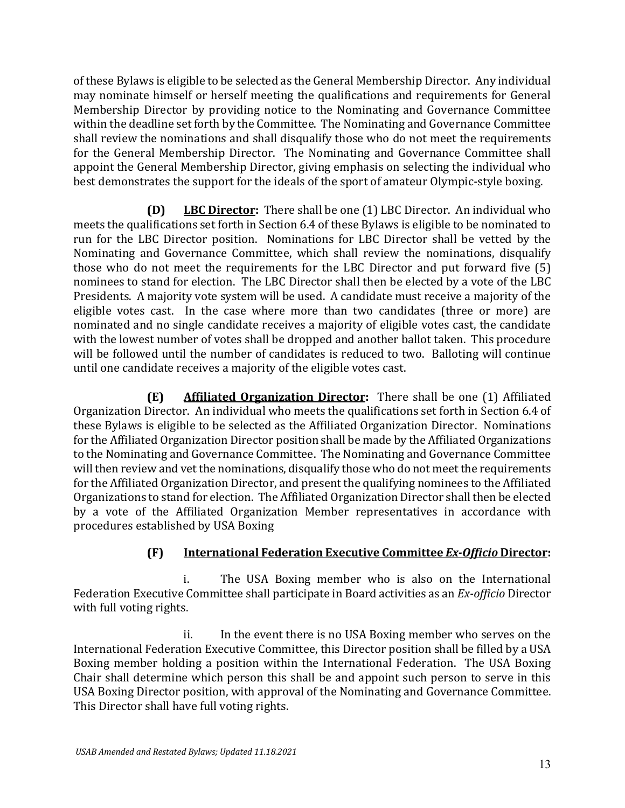of these Bylaws is eligible to be selected as the General Membership Director. Any individual may nominate himself or herself meeting the qualifications and requirements for General Membership Director by providing notice to the Nominating and Governance Committee within the deadline set forth by the Committee. The Nominating and Governance Committee shall review the nominations and shall disqualify those who do not meet the requirements for the General Membership Director. The Nominating and Governance Committee shall appoint the General Membership Director, giving emphasis on selecting the individual who best demonstrates the support for the ideals of the sport of amateur Olympic-style boxing.

**(D) LBC Director:** There shall be one (1) LBC Director. An individual who meets the qualifications set forth in Section 6.4 of these Bylaws is eligible to be nominated to run for the LBC Director position. Nominations for LBC Director shall be vetted by the Nominating and Governance Committee, which shall review the nominations, disqualify those who do not meet the requirements for the LBC Director and put forward five (5) nominees to stand for election. The LBC Director shall then be elected by a vote of the LBC Presidents. A majority vote system will be used. A candidate must receive a majority of the eligible votes cast. In the case where more than two candidates (three or more) are nominated and no single candidate receives a majority of eligible votes cast, the candidate with the lowest number of votes shall be dropped and another ballot taken. This procedure will be followed until the number of candidates is reduced to two. Balloting will continue until one candidate receives a majority of the eligible votes cast.

**(E) Affiliated Organization Director:** There shall be one (1) Affiliated Organization Director. An individual who meets the qualifications set forth in Section 6.4 of these Bylaws is eligible to be selected as the Affiliated Organization Director. Nominations for the Affiliated Organization Director position shall be made by the Affiliated Organizations to the Nominating and Governance Committee. The Nominating and Governance Committee will then review and vet the nominations, disqualify those who do not meet the requirements for the Affiliated Organization Director, and present the qualifying nominees to the Affiliated Organizations to stand for election. The Affiliated Organization Director shall then be elected by a vote of the Affiliated Organization Member representatives in accordance with procedures established by USA Boxing

# **(F) International Federation Executive Committee** *Ex-Officio* **Director:**

i. The USA Boxing member who is also on the International Federation Executive Committee shall participate in Board activities as an *Ex-officio* Director with full voting rights.

ii. In the event there is no USA Boxing member who serves on the International Federation Executive Committee, this Director position shall be filled by a USA Boxing member holding a position within the International Federation. The USA Boxing Chair shall determine which person this shall be and appoint such person to serve in this USA Boxing Director position, with approval of the Nominating and Governance Committee. This Director shall have full voting rights.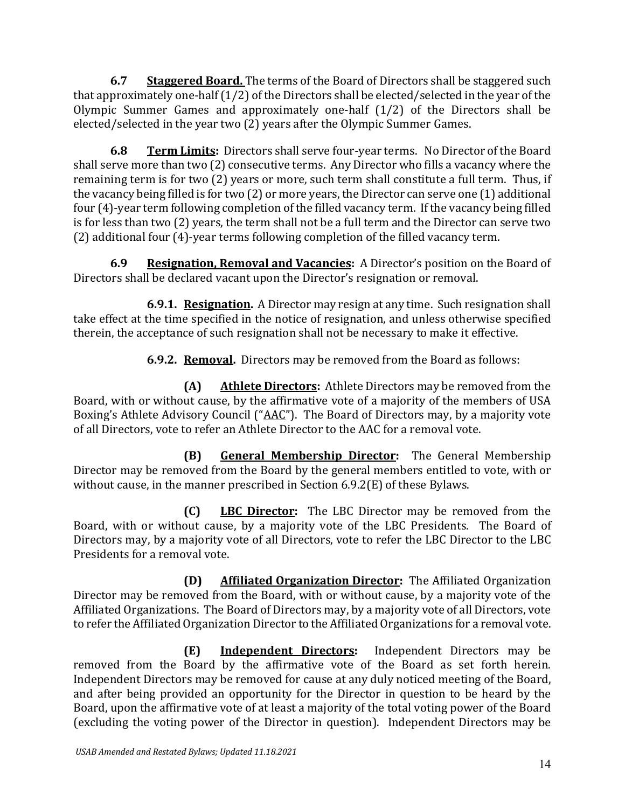**6.7 Staggered Board.** The terms of the Board of Directors shall be staggered such that approximately one-half (1/2) of the Directors shall be elected/selected in the year of the Olympic Summer Games and approximately one-half (1/2) of the Directors shall be elected/selected in the year two (2) years after the Olympic Summer Games.

**6.8 Term Limits:** Directors shall serve four-year terms. No Director of the Board shall serve more than two (2) consecutive terms. Any Director who fills a vacancy where the remaining term is for two (2) years or more, such term shall constitute a full term. Thus, if the vacancy being filled is for two (2) or more years, the Director can serve one (1) additional four (4)-year term following completion of the filled vacancy term. If the vacancy being filled is for less than two (2) years, the term shall not be a full term and the Director can serve two (2) additional four (4)-year terms following completion of the filled vacancy term.

**6.9 Resignation, Removal and Vacancies:** A Director's position on the Board of Directors shall be declared vacant upon the Director's resignation or removal.

**6.9.1. Resignation.** A Director may resign at any time. Such resignation shall take effect at the time specified in the notice of resignation, and unless otherwise specified therein, the acceptance of such resignation shall not be necessary to make it effective.

**6.9.2. Removal.** Directors may be removed from the Board as follows:

**(A) Athlete Directors:** Athlete Directors may be removed from the Board, with or without cause, by the affirmative vote of a majority of the members of USA Boxing's Athlete Advisory Council ("AAC"). The Board of Directors may, by a majority vote of all Directors, vote to refer an Athlete Director to the AAC for a removal vote.

**(B) General Membership Director:** The General Membership Director may be removed from the Board by the general members entitled to vote, with or without cause, in the manner prescribed in Section 6.9.2(E) of these Bylaws.

**(C) LBC Director:** The LBC Director may be removed from the Board, with or without cause, by a majority vote of the LBC Presidents. The Board of Directors may, by a majority vote of all Directors, vote to refer the LBC Director to the LBC Presidents for a removal vote.

**(D) Affiliated Organization Director:** The Affiliated Organization Director may be removed from the Board, with or without cause, by a majority vote of the Affiliated Organizations. The Board of Directors may, by a majority vote of all Directors, vote to refer the Affiliated Organization Director to the Affiliated Organizations for a removal vote.

**(E) Independent Directors:** Independent Directors may be removed from the Board by the affirmative vote of the Board as set forth herein. Independent Directors may be removed for cause at any duly noticed meeting of the Board, and after being provided an opportunity for the Director in question to be heard by the Board, upon the affirmative vote of at least a majority of the total voting power of the Board (excluding the voting power of the Director in question). Independent Directors may be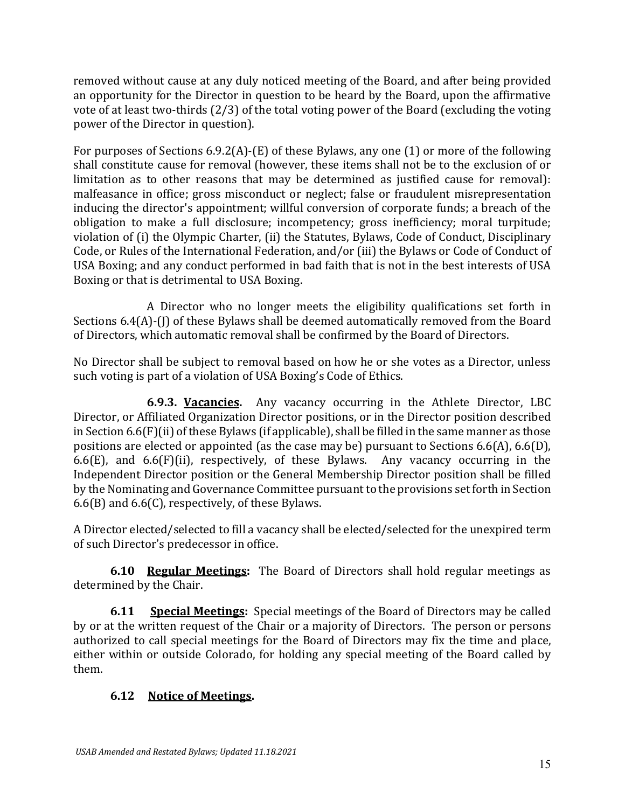removed without cause at any duly noticed meeting of the Board, and after being provided an opportunity for the Director in question to be heard by the Board, upon the affirmative vote of at least two-thirds (2/3) of the total voting power of the Board (excluding the voting power of the Director in question).

For purposes of Sections 6.9.2(A)-(E) of these Bylaws, any one (1) or more of the following shall constitute cause for removal (however, these items shall not be to the exclusion of or limitation as to other reasons that may be determined as justified cause for removal): malfeasance in office; gross misconduct or neglect; false or fraudulent misrepresentation inducing the director's appointment; willful conversion of corporate funds; a breach of the obligation to make a full disclosure; incompetency; gross inefficiency; moral turpitude; violation of (i) the Olympic Charter, (ii) the Statutes, Bylaws, Code of Conduct, Disciplinary Code, or Rules of the International Federation, and/or (iii) the Bylaws or Code of Conduct of USA Boxing; and any conduct performed in bad faith that is not in the best interests of USA Boxing or that is detrimental to USA Boxing.

A Director who no longer meets the eligibility qualifications set forth in Sections 6.4(A)-(I) of these Bylaws shall be deemed automatically removed from the Board of Directors, which automatic removal shall be confirmed by the Board of Directors.

No Director shall be subject to removal based on how he or she votes as a Director, unless such voting is part of a violation of USA Boxing's Code of Ethics.

**6.9.3. Vacancies.** Any vacancy occurring in the Athlete Director, LBC Director, or Affiliated Organization Director positions, or in the Director position described in Section 6.6(F)(ii) of these Bylaws (if applicable), shall be filled in the same manner as those positions are elected or appointed (as the case may be) pursuant to Sections 6.6(A), 6.6(D), 6.6(E), and 6.6(F)(ii), respectively, of these Bylaws. Any vacancy occurring in the Independent Director position or the General Membership Director position shall be filled by the Nominating and Governance Committee pursuant to the provisions set forth in Section 6.6(B) and 6.6(C), respectively, of these Bylaws.

A Director elected/selected to fill a vacancy shall be elected/selected for the unexpired term of such Director's predecessor in office.

**6.10 Regular Meetings:** The Board of Directors shall hold regular meetings as determined by the Chair.

**6.11 Special Meetings:** Special meetings of the Board of Directors may be called by or at the written request of the Chair or a majority of Directors. The person or persons authorized to call special meetings for the Board of Directors may fix the time and place, either within or outside Colorado, for holding any special meeting of the Board called by them.

# **6.12 Notice of Meetings.**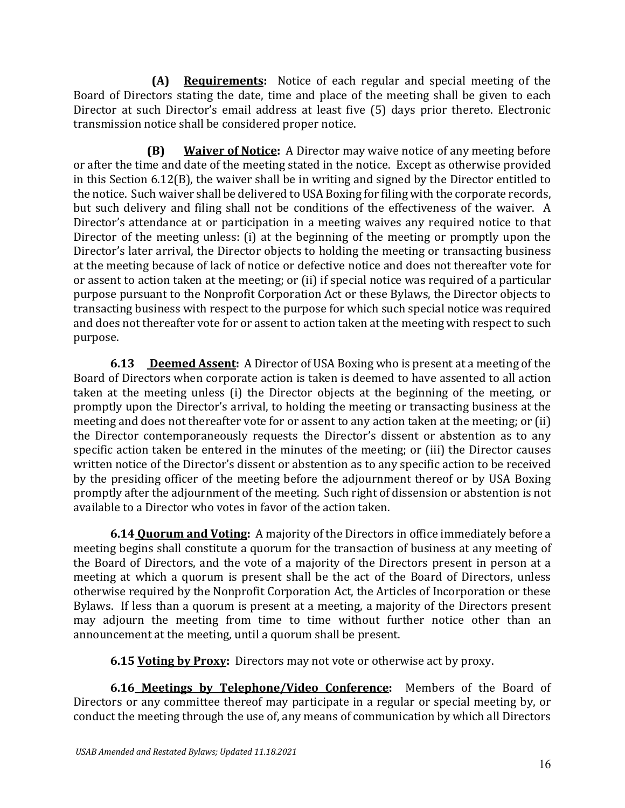**(A) Requirements:** Notice of each regular and special meeting of the Board of Directors stating the date, time and place of the meeting shall be given to each Director at such Director's email address at least five (5) days prior thereto. Electronic transmission notice shall be considered proper notice.

**(B) Waiver of Notice:** A Director may waive notice of any meeting before or after the time and date of the meeting stated in the notice. Except as otherwise provided in this Section 6.12(B), the waiver shall be in writing and signed by the Director entitled to the notice. Such waiver shall be delivered to USA Boxing for filing with the corporate records, but such delivery and filing shall not be conditions of the effectiveness of the waiver. A Director's attendance at or participation in a meeting waives any required notice to that Director of the meeting unless: (i) at the beginning of the meeting or promptly upon the Director's later arrival, the Director objects to holding the meeting or transacting business at the meeting because of lack of notice or defective notice and does not thereafter vote for or assent to action taken at the meeting; or (ii) if special notice was required of a particular purpose pursuant to the Nonprofit Corporation Act or these Bylaws, the Director objects to transacting business with respect to the purpose for which such special notice was required and does not thereafter vote for or assent to action taken at the meeting with respect to such purpose.

**6.13 Deemed Assent:** A Director of USA Boxing who is present at a meeting of the Board of Directors when corporate action is taken is deemed to have assented to all action taken at the meeting unless (i) the Director objects at the beginning of the meeting, or promptly upon the Director's arrival, to holding the meeting or transacting business at the meeting and does not thereafter vote for or assent to any action taken at the meeting; or (ii) the Director contemporaneously requests the Director's dissent or abstention as to any specific action taken be entered in the minutes of the meeting; or (iii) the Director causes written notice of the Director's dissent or abstention as to any specific action to be received by the presiding officer of the meeting before the adjournment thereof or by USA Boxing promptly after the adjournment of the meeting. Such right of dissension or abstention is not available to a Director who votes in favor of the action taken.

**6.14 Quorum and Voting:** A majority of the Directors in office immediately before a meeting begins shall constitute a quorum for the transaction of business at any meeting of the Board of Directors, and the vote of a majority of the Directors present in person at a meeting at which a quorum is present shall be the act of the Board of Directors, unless otherwise required by the Nonprofit Corporation Act, the Articles of Incorporation or these Bylaws. If less than a quorum is present at a meeting, a majority of the Directors present may adjourn the meeting from time to time without further notice other than an announcement at the meeting, until a quorum shall be present.

**6.15 Voting by Proxy:** Directors may not vote or otherwise act by proxy.

**6.16 Meetings by Telephone/Video Conference:** Members of the Board of Directors or any committee thereof may participate in a regular or special meeting by, or conduct the meeting through the use of, any means of communication by which all Directors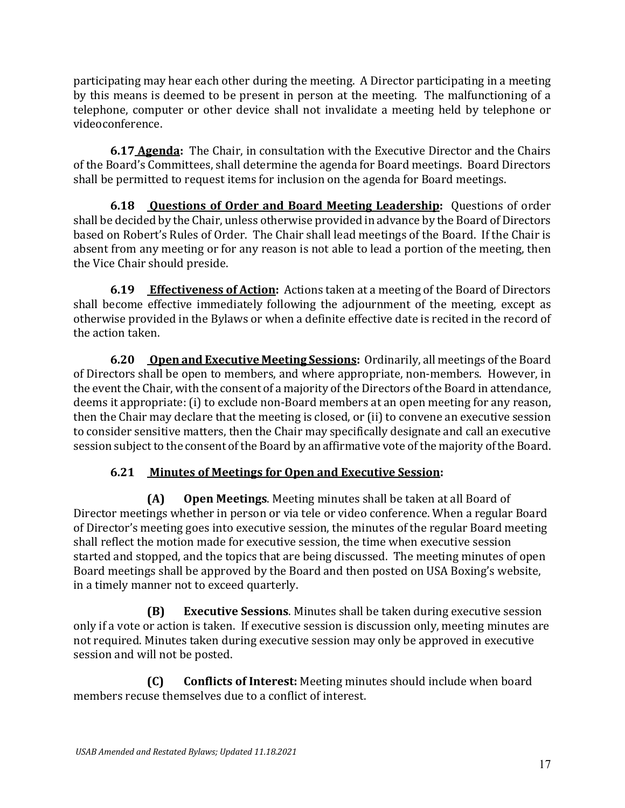participating may hear each other during the meeting. A Director participating in a meeting by this means is deemed to be present in person at the meeting. The malfunctioning of a telephone, computer or other device shall not invalidate a meeting held by telephone or videoconference.

**6.17 Agenda:** The Chair, in consultation with the Executive Director and the Chairs of the Board's Committees, shall determine the agenda for Board meetings. Board Directors shall be permitted to request items for inclusion on the agenda for Board meetings.

**6.18 Questions of Order and Board Meeting Leadership:** Questions of order shall be decided by the Chair, unless otherwise provided in advance by the Board of Directors based on Robert's Rules of Order. The Chair shall lead meetings of the Board. If the Chair is absent from any meeting or for any reason is not able to lead a portion of the meeting, then the Vice Chair should preside.

**6.19 Effectiveness of Action:** Actions taken at a meeting of the Board of Directors shall become effective immediately following the adjournment of the meeting, except as otherwise provided in the Bylaws or when a definite effective date is recited in the record of the action taken.

**6.20 Open and Executive Meeting Sessions:** Ordinarily, all meetings of the Board of Directors shall be open to members, and where appropriate, non-members. However, in the event the Chair, with the consent of a majority of the Directors of the Board in attendance, deems it appropriate: (i) to exclude non-Board members at an open meeting for any reason, then the Chair may declare that the meeting is closed, or (ii) to convene an executive session to consider sensitive matters, then the Chair may specifically designate and call an executive session subject to the consent of the Board by an affirmative vote of the majority of the Board.

# **6.21 Minutes of Meetings for Open and Executive Session:**

**(A) Open Meetings**. Meeting minutes shall be taken at all Board of Director meetings whether in person or via tele or video conference. When a regular Board of Director's meeting goes into executive session, the minutes of the regular Board meeting shall reflect the motion made for executive session, the time when executive session started and stopped, and the topics that are being discussed. The meeting minutes of open Board meetings shall be approved by the Board and then posted on USA Boxing's website, in a timely manner not to exceed quarterly.

**(B) Executive Sessions**. Minutes shall be taken during executive session only if a vote or action is taken. If executive session is discussion only, meeting minutes are not required. Minutes taken during executive session may only be approved in executive session and will not be posted.

**(C) Conflicts of Interest:** Meeting minutes should include when board members recuse themselves due to a conflict of interest.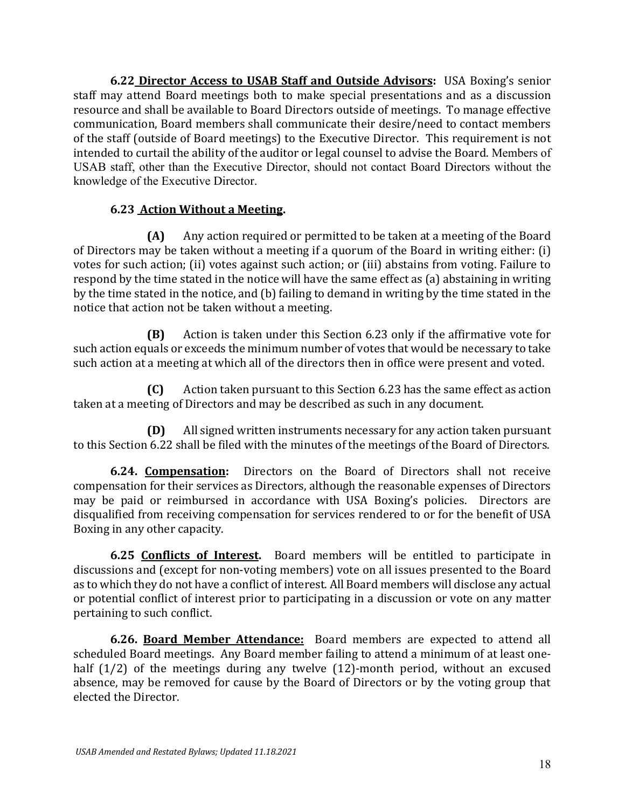**6.22 Director Access to USAB Staff and Outside Advisors:** USA Boxing's senior staff may attend Board meetings both to make special presentations and as a discussion resource and shall be available to Board Directors outside of meetings. To manage effective communication, Board members shall communicate their desire/need to contact members of the staff (outside of Board meetings) to the Executive Director. This requirement is not intended to curtail the ability of the auditor or legal counsel to advise the Board. Members of USAB staff, other than the Executive Director, should not contact Board Directors without the knowledge of the Executive Director.

## **6.23 Action Without a Meeting.**

**(A)** Any action required or permitted to be taken at a meeting of the Board of Directors may be taken without a meeting if a quorum of the Board in writing either: (i) votes for such action; (ii) votes against such action; or (iii) abstains from voting. Failure to respond by the time stated in the notice will have the same effect as (a) abstaining in writing by the time stated in the notice, and (b) failing to demand in writing by the time stated in the notice that action not be taken without a meeting.

**(B)** Action is taken under this Section 6.23 only if the affirmative vote for such action equals or exceeds the minimum number of votes that would be necessary to take such action at a meeting at which all of the directors then in office were present and voted.

**(C)** Action taken pursuant to this Section 6.23 has the same effect as action taken at a meeting of Directors and may be described as such in any document.

**(D)** All signed written instruments necessary for any action taken pursuant to this Section 6.22 shall be filed with the minutes of the meetings of the Board of Directors.

**6.24. Compensation:** Directors on the Board of Directors shall not receive compensation for their services as Directors, although the reasonable expenses of Directors may be paid or reimbursed in accordance with USA Boxing's policies. Directors are disqualified from receiving compensation for services rendered to or for the benefit of USA Boxing in any other capacity.

**6.25 Conflicts of Interest.** Board members will be entitled to participate in discussions and (except for non-voting members) vote on all issues presented to the Board as to which they do not have a conflict of interest. All Board members will disclose any actual or potential conflict of interest prior to participating in a discussion or vote on any matter pertaining to such conflict.

**6.26. Board Member Attendance:** Board members are expected to attend all scheduled Board meetings. Any Board member failing to attend a minimum of at least onehalf (1/2) of the meetings during any twelve (12)-month period, without an excused absence, may be removed for cause by the Board of Directors or by the voting group that elected the Director.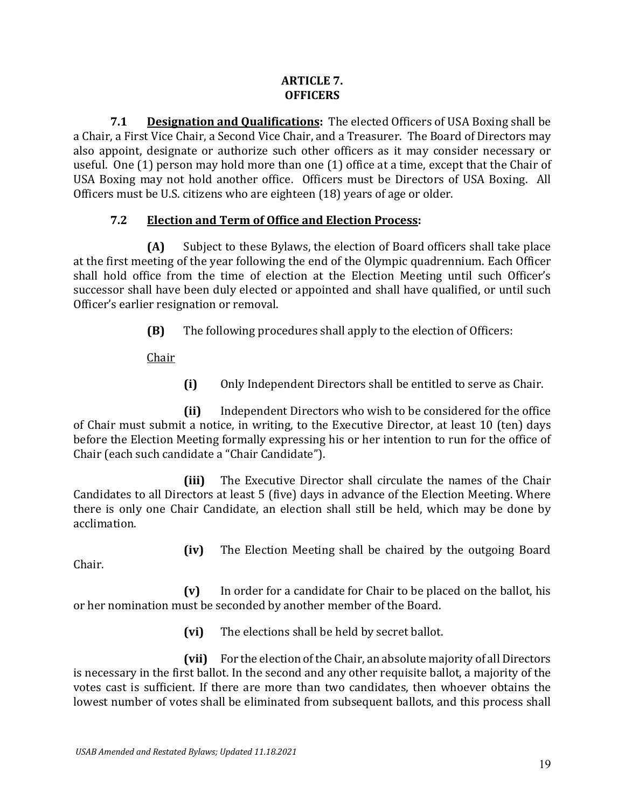## **ARTICLE 7. OFFICERS**

**7.1 Designation and Qualifications:** The elected Officers of USA Boxing shall be a Chair, a First Vice Chair, a Second Vice Chair, and a Treasurer. The Board of Directors may also appoint, designate or authorize such other officers as it may consider necessary or useful. One (1) person may hold more than one (1) office at a time, except that the Chair of USA Boxing may not hold another office. Officers must be Directors of USA Boxing. All Officers must be U.S. citizens who are eighteen (18) years of age or older.

# **7.2 Election and Term of Office and Election Process:**

**(A)** Subject to these Bylaws, the election of Board officers shall take place at the first meeting of the year following the end of the Olympic quadrennium. Each Officer shall hold office from the time of election at the Election Meeting until such Officer's successor shall have been duly elected or appointed and shall have qualified, or until such Officer's earlier resignation or removal.

**(B)** The following procedures shall apply to the election of Officers:

Chair

**(i)** Only Independent Directors shall be entitled to serve as Chair.

**(ii)** Independent Directors who wish to be considered for the office of Chair must submit a notice, in writing, to the Executive Director, at least 10 (ten) days before the Election Meeting formally expressing his or her intention to run for the office of Chair (each such candidate a "Chair Candidate").

**(iii)** The Executive Director shall circulate the names of the Chair Candidates to all Directors at least 5 (five) days in advance of the Election Meeting. Where there is only one Chair Candidate, an election shall still be held, which may be done by acclimation.

**(iv)** The Election Meeting shall be chaired by the outgoing Board

Chair.

**(v)** In order for a candidate for Chair to be placed on the ballot, his or her nomination must be seconded by another member of the Board.

**(vi)** The elections shall be held by secret ballot.

**(vii)** For the election of the Chair, an absolute majority of all Directors is necessary in the first ballot. In the second and any other requisite ballot, a majority of the votes cast is sufficient. If there are more than two candidates, then whoever obtains the lowest number of votes shall be eliminated from subsequent ballots, and this process shall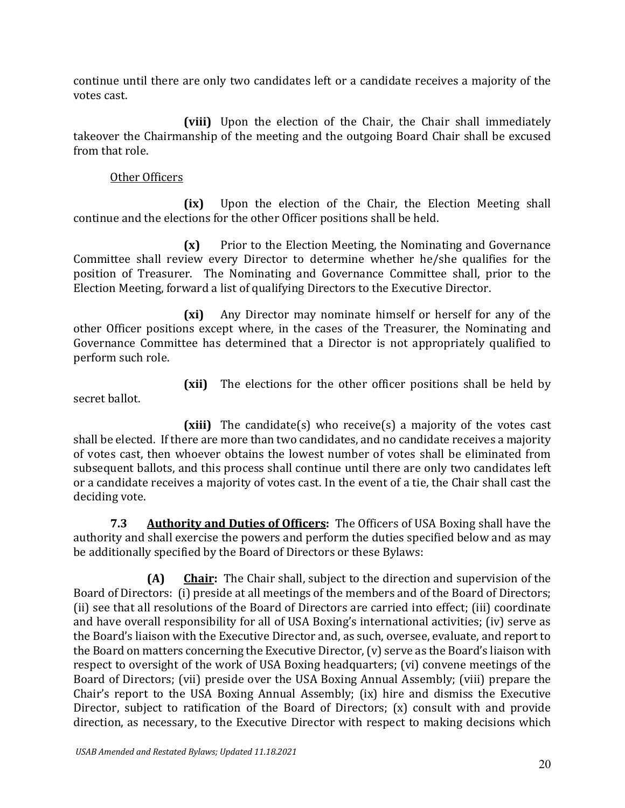continue until there are only two candidates left or a candidate receives a majority of the votes cast.

**(viii)** Upon the election of the Chair, the Chair shall immediately takeover the Chairmanship of the meeting and the outgoing Board Chair shall be excused from that role.

## Other Officers

**(ix)** Upon the election of the Chair, the Election Meeting shall continue and the elections for the other Officer positions shall be held.

**(x)** Prior to the Election Meeting, the Nominating and Governance Committee shall review every Director to determine whether he/she qualifies for the position of Treasurer. The Nominating and Governance Committee shall, prior to the Election Meeting, forward a list of qualifying Directors to the Executive Director.

**(xi)** Any Director may nominate himself or herself for any of the other Officer positions except where, in the cases of the Treasurer, the Nominating and Governance Committee has determined that a Director is not appropriately qualified to perform such role.

secret ballot.

**(xii)** The elections for the other officer positions shall be held by

**(xiii)** The candidate(s) who receive(s) a majority of the votes cast shall be elected. If there are more than two candidates, and no candidate receives a majority of votes cast, then whoever obtains the lowest number of votes shall be eliminated from subsequent ballots, and this process shall continue until there are only two candidates left or a candidate receives a majority of votes cast. In the event of a tie, the Chair shall cast the deciding vote.

**7.3 Authority and Duties of Officers:** The Officers of USA Boxing shall have the authority and shall exercise the powers and perform the duties specified below and as may be additionally specified by the Board of Directors or these Bylaws:

**(A) Chair:** The Chair shall, subject to the direction and supervision of the Board of Directors: (i) preside at all meetings of the members and of the Board of Directors; (ii) see that all resolutions of the Board of Directors are carried into effect; (iii) coordinate and have overall responsibility for all of USA Boxing's international activities; (iv) serve as the Board's liaison with the Executive Director and, as such, oversee, evaluate, and report to the Board on matters concerning the Executive Director, (v) serve as the Board's liaison with respect to oversight of the work of USA Boxing headquarters; (vi) convene meetings of the Board of Directors; (vii) preside over the USA Boxing Annual Assembly; (viii) prepare the Chair's report to the USA Boxing Annual Assembly; (ix) hire and dismiss the Executive Director, subject to ratification of the Board of Directors; (x) consult with and provide direction, as necessary, to the Executive Director with respect to making decisions which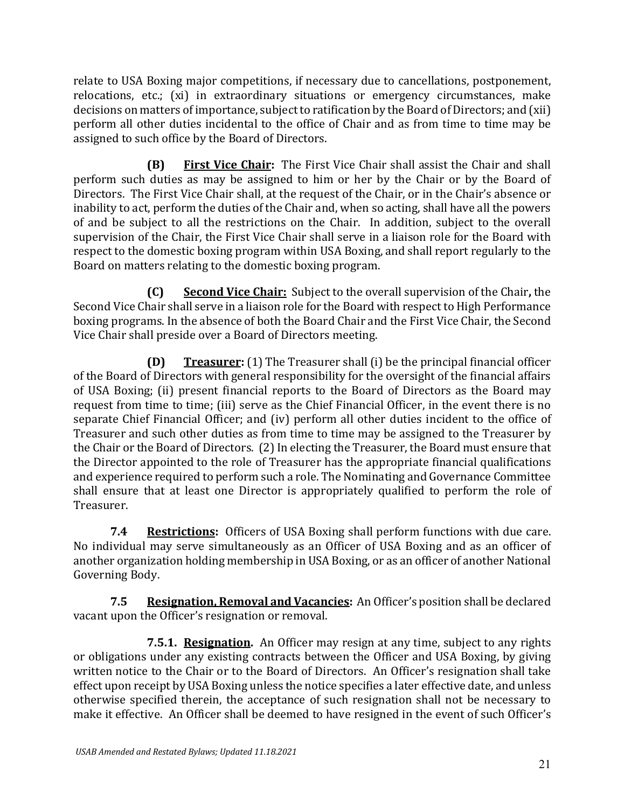relate to USA Boxing major competitions, if necessary due to cancellations, postponement, relocations, etc.; (xi) in extraordinary situations or emergency circumstances, make decisions on matters of importance, subject to ratification by the Board of Directors; and (xii) perform all other duties incidental to the office of Chair and as from time to time may be assigned to such office by the Board of Directors.

**(B) First Vice Chair:** The First Vice Chair shall assist the Chair and shall perform such duties as may be assigned to him or her by the Chair or by the Board of Directors. The First Vice Chair shall, at the request of the Chair, or in the Chair's absence or inability to act, perform the duties of the Chair and, when so acting, shall have all the powers of and be subject to all the restrictions on the Chair. In addition, subject to the overall supervision of the Chair, the First Vice Chair shall serve in a liaison role for the Board with respect to the domestic boxing program within USA Boxing, and shall report regularly to the Board on matters relating to the domestic boxing program.

**(C) Second Vice Chair:** Subject to the overall supervision of the Chair**,** the Second Vice Chair shall serve in a liaison role for the Board with respect to High Performance boxing programs. In the absence of both the Board Chair and the First Vice Chair, the Second Vice Chair shall preside over a Board of Directors meeting.

**(D) Treasurer:** (1) The Treasurer shall (i) be the principal financial officer of the Board of Directors with general responsibility for the oversight of the financial affairs of USA Boxing; (ii) present financial reports to the Board of Directors as the Board may request from time to time; (iii) serve as the Chief Financial Officer, in the event there is no separate Chief Financial Officer; and (iv) perform all other duties incident to the office of Treasurer and such other duties as from time to time may be assigned to the Treasurer by the Chair or the Board of Directors. (2) In electing the Treasurer, the Board must ensure that the Director appointed to the role of Treasurer has the appropriate financial qualifications and experience required to perform such a role. The Nominating and Governance Committee shall ensure that at least one Director is appropriately qualified to perform the role of Treasurer.

**7.4 Restrictions:** Officers of USA Boxing shall perform functions with due care. No individual may serve simultaneously as an Officer of USA Boxing and as an officer of another organization holding membership in USA Boxing, or as an officer of another National Governing Body.

**7.5 Resignation, Removal and Vacancies:** An Officer's position shall be declared vacant upon the Officer's resignation or removal.

**7.5.1. Resignation.** An Officer may resign at any time, subject to any rights or obligations under any existing contracts between the Officer and USA Boxing, by giving written notice to the Chair or to the Board of Directors. An Officer's resignation shall take effect upon receipt by USA Boxing unless the notice specifies a later effective date, and unless otherwise specified therein, the acceptance of such resignation shall not be necessary to make it effective. An Officer shall be deemed to have resigned in the event of such Officer's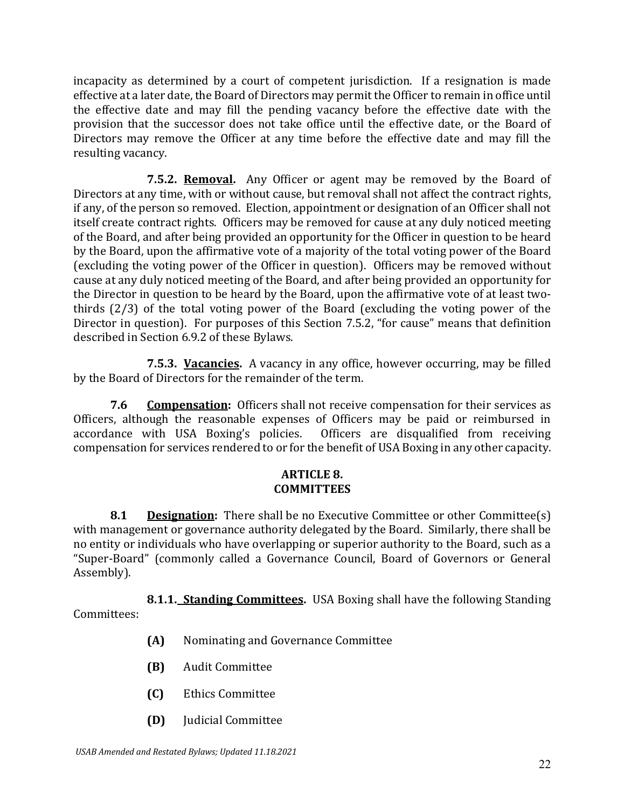incapacity as determined by a court of competent jurisdiction. If a resignation is made effective at a later date, the Board of Directors may permit the Officer to remain in office until the effective date and may fill the pending vacancy before the effective date with the provision that the successor does not take office until the effective date, or the Board of Directors may remove the Officer at any time before the effective date and may fill the resulting vacancy.

**7.5.2. Removal.** Any Officer or agent may be removed by the Board of Directors at any time, with or without cause, but removal shall not affect the contract rights, if any, of the person so removed. Election, appointment or designation of an Officer shall not itself create contract rights. Officers may be removed for cause at any duly noticed meeting of the Board, and after being provided an opportunity for the Officer in question to be heard by the Board, upon the affirmative vote of a majority of the total voting power of the Board (excluding the voting power of the Officer in question). Officers may be removed without cause at any duly noticed meeting of the Board, and after being provided an opportunity for the Director in question to be heard by the Board, upon the affirmative vote of at least twothirds (2/3) of the total voting power of the Board (excluding the voting power of the Director in question). For purposes of this Section 7.5.2, "for cause" means that definition described in Section 6.9.2 of these Bylaws.

**7.5.3. Vacancies.** A vacancy in any office, however occurring, may be filled by the Board of Directors for the remainder of the term.

**7.6 Compensation:** Officers shall not receive compensation for their services as Officers, although the reasonable expenses of Officers may be paid or reimbursed in accordance with USA Boxing's policies. Officers are disqualified from receiving compensation for services rendered to or for the benefit of USA Boxing in any other capacity.

## **ARTICLE 8. COMMITTEES**

**8.1 Designation:** There shall be no Executive Committee or other Committee(s) with management or governance authority delegated by the Board. Similarly, there shall be no entity or individuals who have overlapping or superior authority to the Board, such as a "Super-Board" (commonly called a Governance Council, Board of Governors or General Assembly).

**8.1.1. Standing Committees.** USA Boxing shall have the following Standing Committees:

- **(A)** Nominating and Governance Committee
- **(B)** Audit Committee
- **(C)** Ethics Committee
- **(D)** Judicial Committee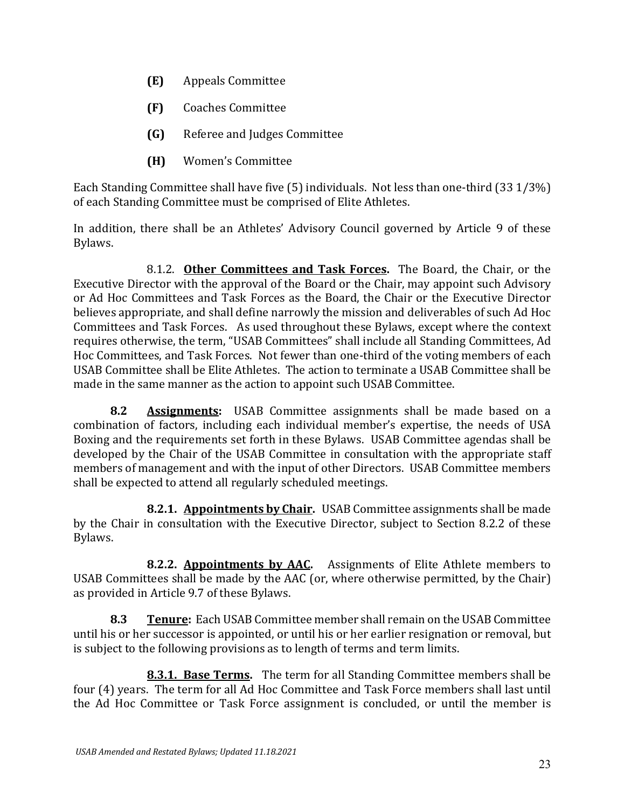- **(E)** Appeals Committee
- **(F)** Coaches Committee
- **(G)** Referee and Judges Committee
- **(H)** Women's Committee

Each Standing Committee shall have five (5) individuals. Not less than one-third (33 1/3%) of each Standing Committee must be comprised of Elite Athletes.

In addition, there shall be an Athletes' Advisory Council governed by Article 9 of these Bylaws.

8.1.2. **Other Committees and Task Forces.** The Board, the Chair, or the Executive Director with the approval of the Board or the Chair, may appoint such Advisory or Ad Hoc Committees and Task Forces as the Board, the Chair or the Executive Director believes appropriate, and shall define narrowly the mission and deliverables of such Ad Hoc Committees and Task Forces. As used throughout these Bylaws, except where the context requires otherwise, the term, "USAB Committees" shall include all Standing Committees, Ad Hoc Committees, and Task Forces. Not fewer than one-third of the voting members of each USAB Committee shall be Elite Athletes. The action to terminate a USAB Committee shall be made in the same manner as the action to appoint such USAB Committee.

**8.2 Assignments:** USAB Committee assignments shall be made based on a combination of factors, including each individual member's expertise, the needs of USA Boxing and the requirements set forth in these Bylaws. USAB Committee agendas shall be developed by the Chair of the USAB Committee in consultation with the appropriate staff members of management and with the input of other Directors. USAB Committee members shall be expected to attend all regularly scheduled meetings.

**8.2.1. Appointments by Chair.** USAB Committee assignments shall be made by the Chair in consultation with the Executive Director, subject to Section 8.2.2 of these Bylaws.

**8.2.2. Appointments by AAC.** Assignments of Elite Athlete members to USAB Committees shall be made by the AAC (or, where otherwise permitted, by the Chair) as provided in Article 9.7 of these Bylaws.

**8.3 Tenure:** Each USAB Committee member shall remain on the USAB Committee until his or her successor is appointed, or until his or her earlier resignation or removal, but is subject to the following provisions as to length of terms and term limits.

**8.3.1. Base Terms.** The term for all Standing Committee members shall be four (4) years. The term for all Ad Hoc Committee and Task Force members shall last until the Ad Hoc Committee or Task Force assignment is concluded, or until the member is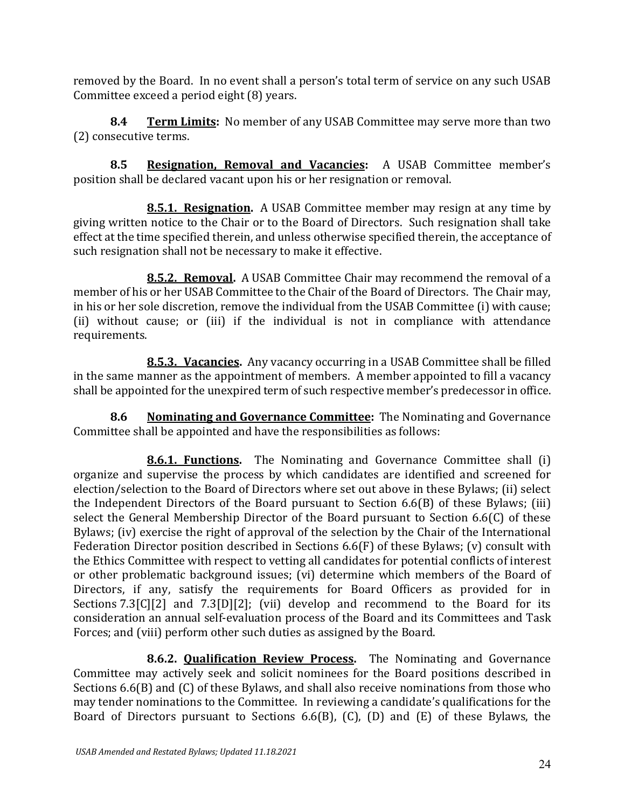removed by the Board. In no event shall a person's total term of service on any such USAB Committee exceed a period eight (8) years.

**8.4 Term Limits:** No member of any USAB Committee may serve more than two (2) consecutive terms.

**8.5 Resignation, Removal and Vacancies:** A USAB Committee member's position shall be declared vacant upon his or her resignation or removal.

**8.5.1. Resignation.** A USAB Committee member may resign at any time by giving written notice to the Chair or to the Board of Directors. Such resignation shall take effect at the time specified therein, and unless otherwise specified therein, the acceptance of such resignation shall not be necessary to make it effective.

**8.5.2. Removal.** A USAB Committee Chair may recommend the removal of a member of his or her USAB Committee to the Chair of the Board of Directors. The Chair may, in his or her sole discretion, remove the individual from the USAB Committee (i) with cause; (ii) without cause; or (iii) if the individual is not in compliance with attendance requirements.

**8.5.3. Vacancies.** Any vacancy occurring in a USAB Committee shall be filled in the same manner as the appointment of members. A member appointed to fill a vacancy shall be appointed for the unexpired term of such respective member's predecessor in office.

**8.6 Nominating and Governance Committee:** The Nominating and Governance Committee shall be appointed and have the responsibilities as follows:

**8.6.1. Functions.** The Nominating and Governance Committee shall (i) organize and supervise the process by which candidates are identified and screened for election/selection to the Board of Directors where set out above in these Bylaws; (ii) select the Independent Directors of the Board pursuant to Section 6.6(B) of these Bylaws; (iii) select the General Membership Director of the Board pursuant to Section 6.6(C) of these Bylaws; (iv) exercise the right of approval of the selection by the Chair of the International Federation Director position described in Sections 6.6(F) of these Bylaws; (v) consult with the Ethics Committee with respect to vetting all candidates for potential conflicts of interest or other problematic background issues; (vi) determine which members of the Board of Directors, if any, satisfy the requirements for Board Officers as provided for in Sections 7.3[C][2] and 7.3[D][2]; (vii) develop and recommend to the Board for its consideration an annual self-evaluation process of the Board and its Committees and Task Forces; and (viii) perform other such duties as assigned by the Board.

**8.6.2. Qualification Review Process.** The Nominating and Governance Committee may actively seek and solicit nominees for the Board positions described in Sections 6.6(B) and (C) of these Bylaws, and shall also receive nominations from those who may tender nominations to the Committee. In reviewing a candidate's qualifications for the Board of Directors pursuant to Sections 6.6(B), (C), (D) and (E) of these Bylaws, the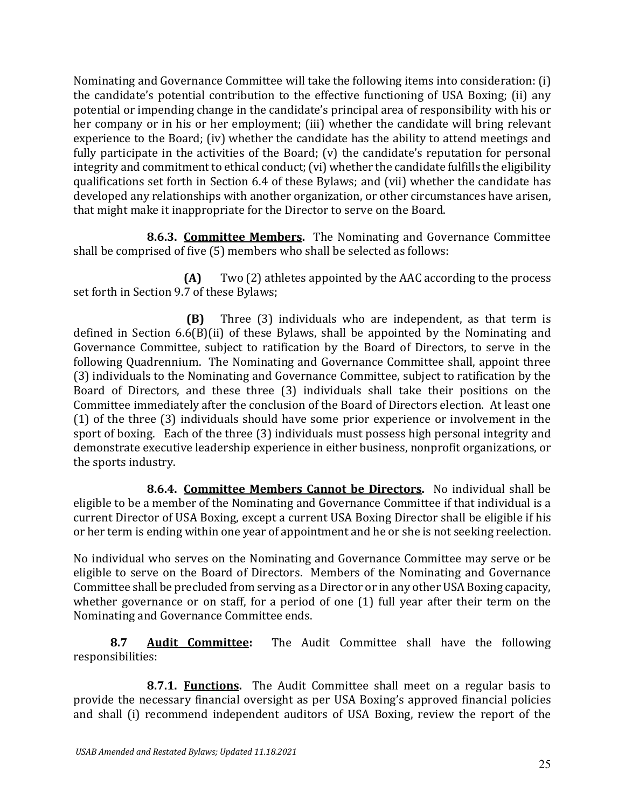Nominating and Governance Committee will take the following items into consideration: (i) the candidate's potential contribution to the effective functioning of USA Boxing; (ii) any potential or impending change in the candidate's principal area of responsibility with his or her company or in his or her employment; (iii) whether the candidate will bring relevant experience to the Board; (iv) whether the candidate has the ability to attend meetings and fully participate in the activities of the Board; (v) the candidate's reputation for personal integrity and commitment to ethical conduct; (vi) whether the candidate fulfills the eligibility qualifications set forth in Section 6.4 of these Bylaws; and (vii) whether the candidate has developed any relationships with another organization, or other circumstances have arisen, that might make it inappropriate for the Director to serve on the Board.

**8.6.3. Committee Members.** The Nominating and Governance Committee shall be comprised of five (5) members who shall be selected as follows:

**(A)** Two (2) athletes appointed by the AAC according to the process set forth in Section 9.7 of these Bylaws;

**(B)** Three (3) individuals who are independent, as that term is defined in Section 6.6(B)(ii) of these Bylaws, shall be appointed by the Nominating and Governance Committee, subject to ratification by the Board of Directors, to serve in the following Quadrennium. The Nominating and Governance Committee shall, appoint three (3) individuals to the Nominating and Governance Committee, subject to ratification by the Board of Directors, and these three (3) individuals shall take their positions on the Committee immediately after the conclusion of the Board of Directors election. At least one (1) of the three (3) individuals should have some prior experience or involvement in the sport of boxing. Each of the three (3) individuals must possess high personal integrity and demonstrate executive leadership experience in either business, nonprofit organizations, or the sports industry.

**8.6.4. Committee Members Cannot be Directors.** No individual shall be eligible to be a member of the Nominating and Governance Committee if that individual is a current Director of USA Boxing, except a current USA Boxing Director shall be eligible if his or her term is ending within one year of appointment and he or she is not seeking reelection.

No individual who serves on the Nominating and Governance Committee may serve or be eligible to serve on the Board of Directors. Members of the Nominating and Governance Committee shall be precluded from serving as a Director or in any other USA Boxing capacity, whether governance or on staff, for a period of one (1) full year after their term on the Nominating and Governance Committee ends.

**8.7 Audit Committee:** The Audit Committee shall have the following responsibilities:

**8.7.1. Functions.** The Audit Committee shall meet on a regular basis to provide the necessary financial oversight as per USA Boxing's approved financial policies and shall (i) recommend independent auditors of USA Boxing, review the report of the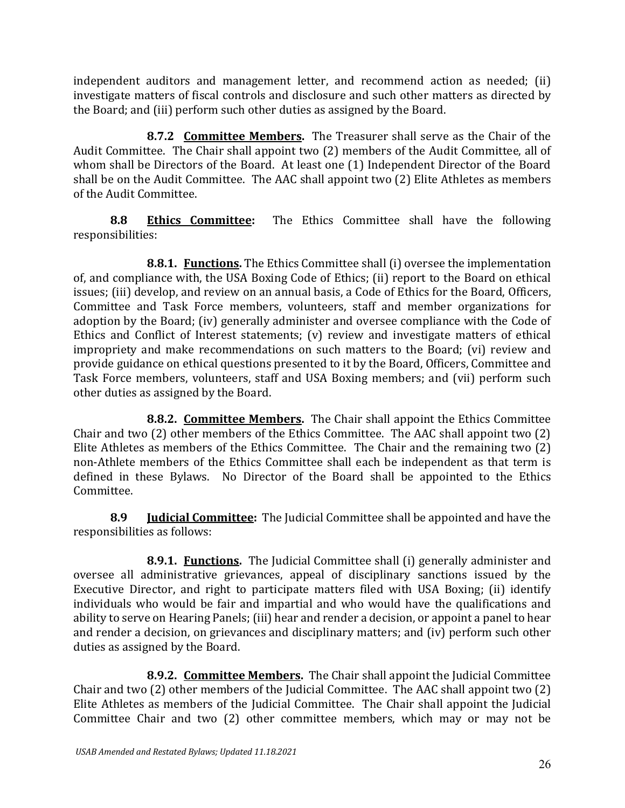independent auditors and management letter, and recommend action as needed; (ii) investigate matters of fiscal controls and disclosure and such other matters as directed by the Board; and (iii) perform such other duties as assigned by the Board.

**8.7.2 Committee Members.** The Treasurer shall serve as the Chair of the Audit Committee. The Chair shall appoint two (2) members of the Audit Committee, all of whom shall be Directors of the Board. At least one (1) Independent Director of the Board shall be on the Audit Committee. The AAC shall appoint two (2) Elite Athletes as members of the Audit Committee.

**8.8 Ethics Committee:** The Ethics Committee shall have the following responsibilities:

**8.8.1. Functions.** The Ethics Committee shall (i) oversee the implementation of, and compliance with, the USA Boxing Code of Ethics; (ii) report to the Board on ethical issues; (iii) develop, and review on an annual basis, a Code of Ethics for the Board, Officers, Committee and Task Force members, volunteers, staff and member organizations for adoption by the Board; (iv) generally administer and oversee compliance with the Code of Ethics and Conflict of Interest statements; (v) review and investigate matters of ethical impropriety and make recommendations on such matters to the Board; (vi) review and provide guidance on ethical questions presented to it by the Board, Officers, Committee and Task Force members, volunteers, staff and USA Boxing members; and (vii) perform such other duties as assigned by the Board.

**8.8.2. Committee Members.** The Chair shall appoint the Ethics Committee Chair and two (2) other members of the Ethics Committee. The AAC shall appoint two (2) Elite Athletes as members of the Ethics Committee. The Chair and the remaining two (2) non-Athlete members of the Ethics Committee shall each be independent as that term is defined in these Bylaws. No Director of the Board shall be appointed to the Ethics Committee.

**8.9 Judicial Committee:** The Judicial Committee shall be appointed and have the responsibilities as follows:

**8.9.1. Functions.** The Judicial Committee shall (i) generally administer and oversee all administrative grievances, appeal of disciplinary sanctions issued by the Executive Director, and right to participate matters filed with USA Boxing; (ii) identify individuals who would be fair and impartial and who would have the qualifications and ability to serve on Hearing Panels; (iii) hear and render a decision, or appoint a panel to hear and render a decision, on grievances and disciplinary matters; and (iv) perform such other duties as assigned by the Board.

**8.9.2. Committee Members.** The Chair shall appoint the Judicial Committee Chair and two (2) other members of the Judicial Committee. The AAC shall appoint two (2) Elite Athletes as members of the Judicial Committee. The Chair shall appoint the Judicial Committee Chair and two (2) other committee members, which may or may not be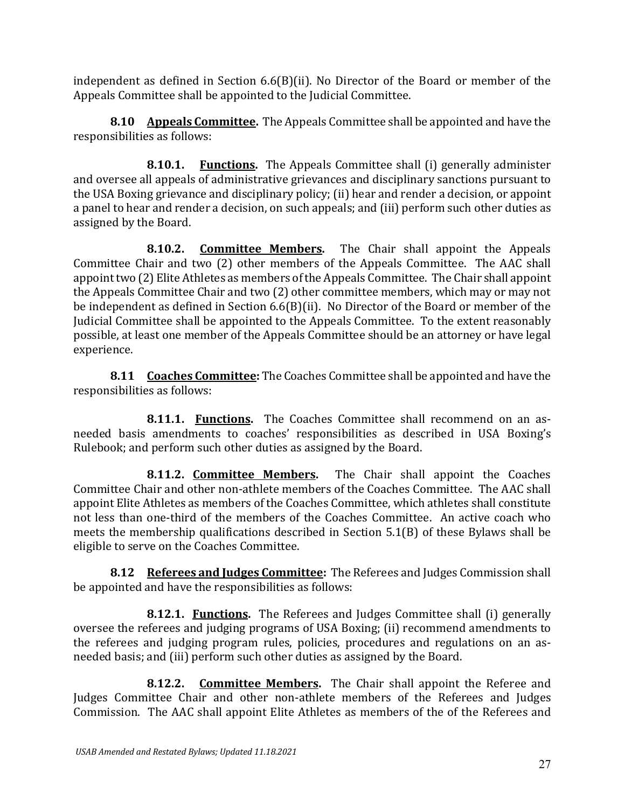independent as defined in Section 6.6(B)(ii). No Director of the Board or member of the Appeals Committee shall be appointed to the Judicial Committee.

**8.10 Appeals Committee.** The Appeals Committee shall be appointed and have the responsibilities as follows:

**8.10.1. Functions.** The Appeals Committee shall (i) generally administer and oversee all appeals of administrative grievances and disciplinary sanctions pursuant to the USA Boxing grievance and disciplinary policy; (ii) hear and render a decision, or appoint a panel to hear and render a decision, on such appeals; and (iii) perform such other duties as assigned by the Board.

**8.10.2. Committee Members.** The Chair shall appoint the Appeals Committee Chair and two (2) other members of the Appeals Committee. The AAC shall appoint two (2) Elite Athletes as members of the Appeals Committee. The Chair shall appoint the Appeals Committee Chair and two (2) other committee members, which may or may not be independent as defined in Section 6.6(B)(ii). No Director of the Board or member of the Judicial Committee shall be appointed to the Appeals Committee. To the extent reasonably possible, at least one member of the Appeals Committee should be an attorney or have legal experience.

**8.11 Coaches Committee:** The Coaches Committee shall be appointed and have the responsibilities as follows:

**8.11.1. Functions.** The Coaches Committee shall recommend on an asneeded basis amendments to coaches' responsibilities as described in USA Boxing's Rulebook; and perform such other duties as assigned by the Board.

**8.11.2. Committee Members.** The Chair shall appoint the Coaches Committee Chair and other non-athlete members of the Coaches Committee. The AAC shall appoint Elite Athletes as members of the Coaches Committee, which athletes shall constitute not less than one-third of the members of the Coaches Committee. An active coach who meets the membership qualifications described in Section 5.1(B) of these Bylaws shall be eligible to serve on the Coaches Committee.

**8.12 Referees and Judges Committee:** The Referees and Judges Commission shall be appointed and have the responsibilities as follows:

**8.12.1. Functions.** The Referees and Judges Committee shall (i) generally oversee the referees and judging programs of USA Boxing; (ii) recommend amendments to the referees and judging program rules, policies, procedures and regulations on an asneeded basis; and (iii) perform such other duties as assigned by the Board.

**8.12.2.** Committee Members. The Chair shall appoint the Referee and Judges Committee Chair and other non-athlete members of the Referees and Judges Commission. The AAC shall appoint Elite Athletes as members of the of the Referees and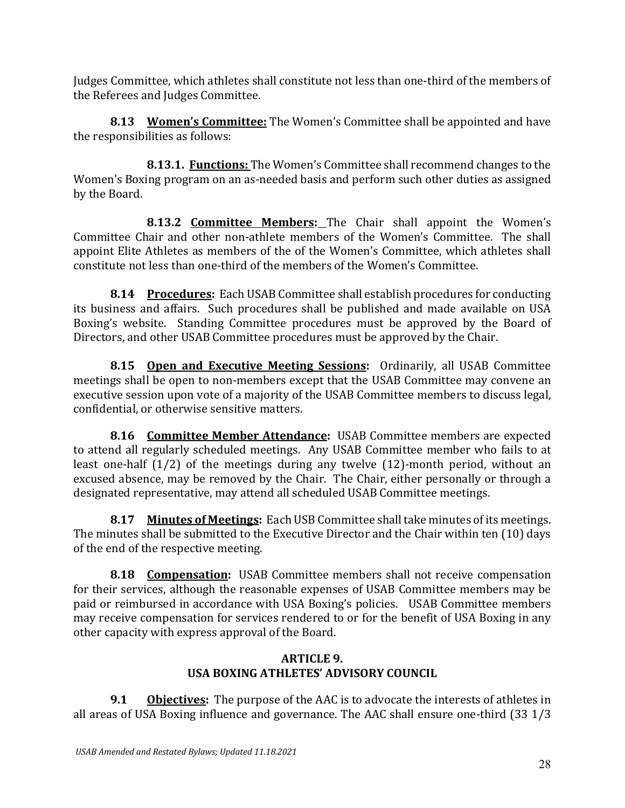Judges Committee, which athletes shall constitute not less than one-third of the members of the Referees and Judges Committee.

**8.13 Women's Committee:** The Women's Committee shall be appointed and have the responsibilities as follows:

**8.13.1. Functions:** The Women's Committee shall recommend changes to the Women's Boxing program on an as-needed basis and perform such other duties as assigned by the Board.

**8.13.2 Committee Members:** The Chair shall appoint the Women's Committee Chair and other non-athlete members of the Women's Committee. The shall appoint Elite Athletes as members of the of the Women's Committee, which athletes shall constitute not less than one-third of the members of the Women's Committee.

**8.14 Procedures:** Each USAB Committee shall establish procedures for conducting its business and affairs. Such procedures shall be published and made available on USA Boxing's website. Standing Committee procedures must be approved by the Board of Directors, and other USAB Committee procedures must be approved by the Chair.

**8.15 Open and Executive Meeting Sessions:** Ordinarily, all USAB Committee meetings shall be open to non-members except that the USAB Committee may convene an executive session upon vote of a majority of the USAB Committee members to discuss legal, confidential, or otherwise sensitive matters.

**8.16 Committee Member Attendance:** USAB Committee members are expected to attend all regularly scheduled meetings. Any USAB Committee member who fails to at least one-half (1/2) of the meetings during any twelve (12)-month period, without an excused absence, may be removed by the Chair. The Chair, either personally or through a designated representative, may attend all scheduled USAB Committee meetings.

**8.17 Minutes of Meetings:** Each USB Committee shall take minutes of its meetings. The minutes shall be submitted to the Executive Director and the Chair within ten (10) days of the end of the respective meeting.

**8.18 Compensation:** USAB Committee members shall not receive compensation for their services, although the reasonable expenses of USAB Committee members may be paid or reimbursed in accordance with USA Boxing's policies. USAB Committee members may receive compensation for services rendered to or for the benefit of USA Boxing in any other capacity with express approval of the Board.

## **ARTICLE 9. USA BOXING ATHLETES' ADVISORY COUNCIL**

**9.1 Objectives:** The purpose of the AAC is to advocate the interests of athletes in all areas of USA Boxing influence and governance. The AAC shall ensure one-third (33 1/3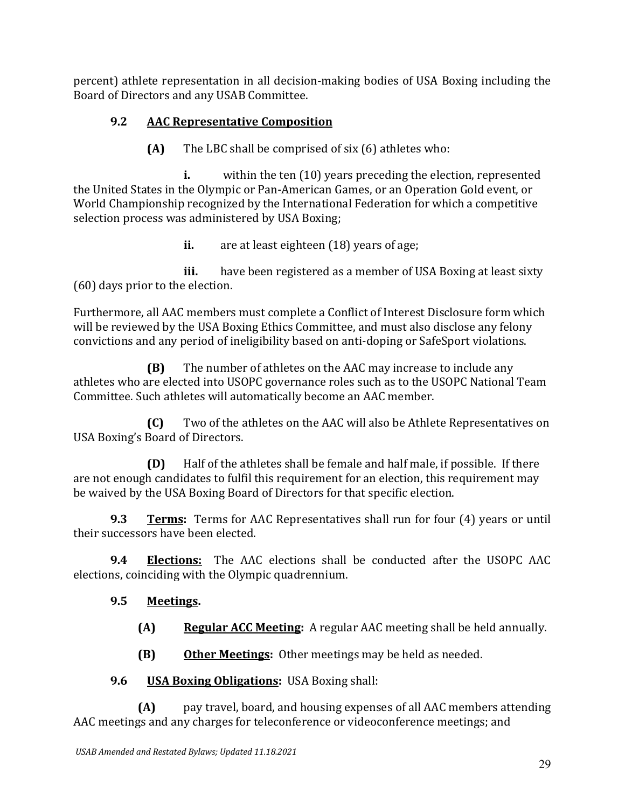percent) athlete representation in all decision-making bodies of USA Boxing including the Board of Directors and any USAB Committee.

# **9.2 AAC Representative Composition**

**(A)** The LBC shall be comprised of six (6) athletes who:

**i.** within the ten (10) years preceding the election, represented the United States in the Olympic or Pan-American Games, or an Operation Gold event, or World Championship recognized by the International Federation for which a competitive selection process was administered by USA Boxing;

**ii.** are at least eighteen (18) years of age;

**iii.** have been registered as a member of USA Boxing at least sixty (60) days prior to the election.

Furthermore, all AAC members must complete a Conflict of Interest Disclosure form which will be reviewed by the USA Boxing Ethics Committee, and must also disclose any felony convictions and any period of ineligibility based on anti-doping or SafeSport violations.

**(B)** The number of athletes on the AAC may increase to include any athletes who are elected into USOPC governance roles such as to the USOPC National Team Committee. Such athletes will automatically become an AAC member.

**(C)** Two of the athletes on the AAC will also be Athlete Representatives on USA Boxing's Board of Directors.

**(D)** Half of the athletes shall be female and half male, if possible. If there are not enough candidates to fulfil this requirement for an election, this requirement may be waived by the USA Boxing Board of Directors for that specific election.

**9.3 Terms:** Terms for AAC Representatives shall run for four (4) years or until their successors have been elected.

**9.4 Elections:** The AAC elections shall be conducted after the USOPC AAC elections, coinciding with the Olympic quadrennium.

# **9.5 Meetings.**

**(A) Regular ACC Meeting:** A regular AAC meeting shall be held annually.

**(B) Other Meetings:** Other meetings may be held as needed.

# **9.6 USA Boxing Obligations:** USA Boxing shall:

**(A)** pay travel, board, and housing expenses of all AAC members attending AAC meetings and any charges for teleconference or videoconference meetings; and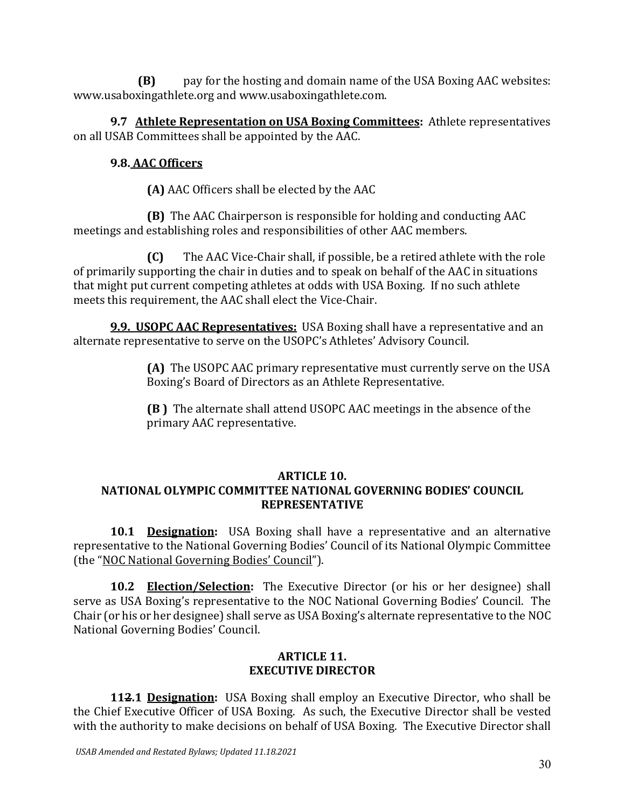**(B)** pay for the hosting and domain name of the USA Boxing AAC websites: www.usaboxingathlete.org and www.usaboxingathlete.com.

**9.7 Athlete Representation on USA Boxing Committees:** Athlete representatives on all USAB Committees shall be appointed by the AAC.

# **9.8. AAC Officers**

**(A)** AAC Officers shall be elected by the AAC

**(B)** The AAC Chairperson is responsible for holding and conducting AAC meetings and establishing roles and responsibilities of other AAC members.

**(C)** The AAC Vice-Chair shall, if possible, be a retired athlete with the role of primarily supporting the chair in duties and to speak on behalf of the AAC in situations that might put current competing athletes at odds with USA Boxing. If no such athlete meets this requirement, the AAC shall elect the Vice-Chair.

**9.9. USOPC AAC Representatives:** USA Boxing shall have a representative and an alternate representative to serve on the USOPC's Athletes' Advisory Council.

> **(A)** The USOPC AAC primary representative must currently serve on the USA Boxing's Board of Directors as an Athlete Representative.

**(B )** The alternate shall attend USOPC AAC meetings in the absence of the primary AAC representative.

## **ARTICLE 10.**

# **NATIONAL OLYMPIC COMMITTEE NATIONAL GOVERNING BODIES' COUNCIL REPRESENTATIVE**

**10.1 Designation:** USA Boxing shall have a representative and an alternative representative to the National Governing Bodies' Council of its National Olympic Committee (the "NOC National Governing Bodies' Council").

**10.2 Election/Selection:** The Executive Director (or his or her designee) shall serve as USA Boxing's representative to the NOC National Governing Bodies' Council. The Chair (or his or her designee) shall serve as USA Boxing's alternate representative to the NOC National Governing Bodies' Council.

### **ARTICLE 11. EXECUTIVE DIRECTOR**

**112.1 Designation:** USA Boxing shall employ an Executive Director, who shall be the Chief Executive Officer of USA Boxing. As such, the Executive Director shall be vested with the authority to make decisions on behalf of USA Boxing. The Executive Director shall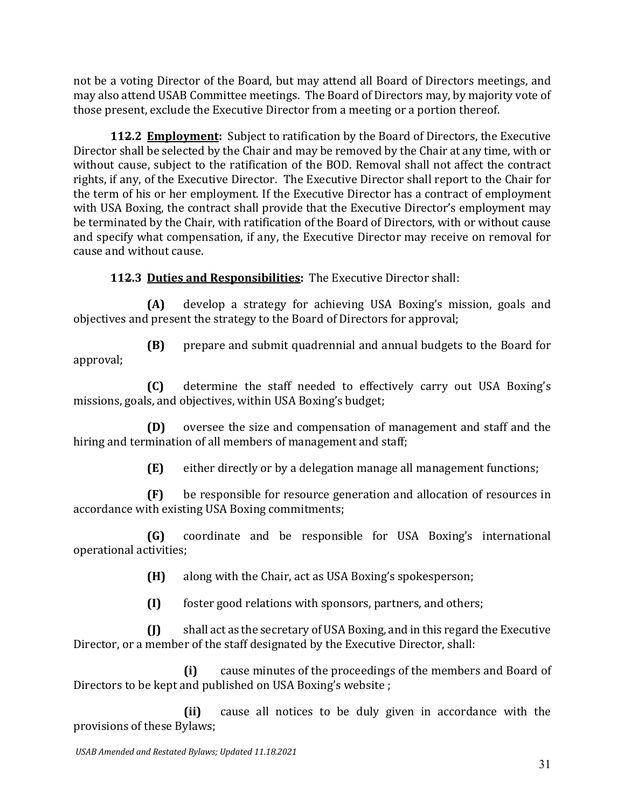not be a voting Director of the Board, but may attend all Board of Directors meetings, and may also attend USAB Committee meetings. The Board of Directors may, by majority vote of those present, exclude the Executive Director from a meeting or a portion thereof.

**112.2 Employment:** Subject to ratification by the Board of Directors, the Executive Director shall be selected by the Chair and may be removed by the Chair at any time, with or without cause, subject to the ratification of the BOD. Removal shall not affect the contract rights, if any, of the Executive Director. The Executive Director shall report to the Chair for the term of his or her employment. If the Executive Director has a contract of employment with USA Boxing, the contract shall provide that the Executive Director's employment may be terminated by the Chair, with ratification of the Board of Directors, with or without cause and specify what compensation, if any, the Executive Director may receive on removal for cause and without cause.

**112.3 Duties and Responsibilities:** The Executive Director shall:

**(A)** develop a strategy for achieving USA Boxing's mission, goals and objectives and present the strategy to the Board of Directors for approval;

**(B)** prepare and submit quadrennial and annual budgets to the Board for approval;

**(C)** determine the staff needed to effectively carry out USA Boxing's missions, goals, and objectives, within USA Boxing's budget;

**(D)** oversee the size and compensation of management and staff and the hiring and termination of all members of management and staff;

**(E)** either directly or by a delegation manage all management functions;

**(F)** be responsible for resource generation and allocation of resources in accordance with existing USA Boxing commitments;

**(G)** coordinate and be responsible for USA Boxing's international operational activities;

**(H)** along with the Chair, act as USA Boxing's spokesperson;

**(I)** foster good relations with sponsors, partners, and others;

**(J)** shall act as the secretary of USA Boxing, and in this regard the Executive Director, or a member of the staff designated by the Executive Director, shall:

**(i)** cause minutes of the proceedings of the members and Board of Directors to be kept and published on USA Boxing's website ;

**(ii)** cause all notices to be duly given in accordance with the provisions of these Bylaws;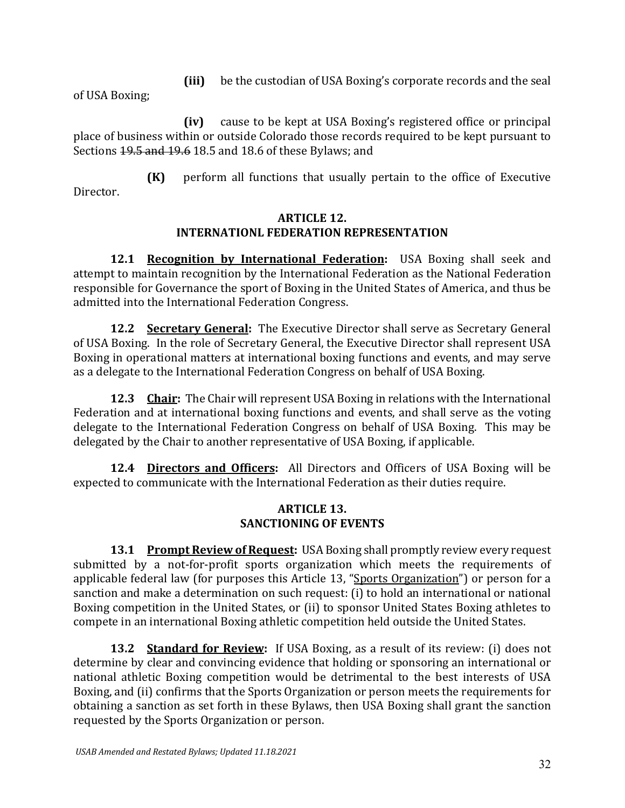**(iii)** be the custodian of USA Boxing's corporate records and the seal

of USA Boxing;

**(iv)** cause to be kept at USA Boxing's registered office or principal place of business within or outside Colorado those records required to be kept pursuant to Sections 19.5 and 19.6 18.5 and 18.6 of these Bylaws; and

**(K)** perform all functions that usually pertain to the office of Executive Director.

### **ARTICLE 12. INTERNATIONL FEDERATION REPRESENTATION**

**12.1 Recognition by International Federation:** USA Boxing shall seek and attempt to maintain recognition by the International Federation as the National Federation responsible for Governance the sport of Boxing in the United States of America, and thus be admitted into the International Federation Congress.

**12.2 Secretary General:** The Executive Director shall serve as Secretary General of USA Boxing. In the role of Secretary General, the Executive Director shall represent USA Boxing in operational matters at international boxing functions and events, and may serve as a delegate to the International Federation Congress on behalf of USA Boxing.

**12.3 Chair:** The Chair will represent USA Boxing in relations with the International Federation and at international boxing functions and events, and shall serve as the voting delegate to the International Federation Congress on behalf of USA Boxing. This may be delegated by the Chair to another representative of USA Boxing, if applicable.

**12.4 Directors and Officers:** All Directors and Officers of USA Boxing will be expected to communicate with the International Federation as their duties require.

## **ARTICLE 13. SANCTIONING OF EVENTS**

**13.1 Prompt Review of Request:** USA Boxing shall promptly review every request submitted by a not-for-profit sports organization which meets the requirements of applicable federal law (for purposes this Article 13, "Sports Organization") or person for a sanction and make a determination on such request: (i) to hold an international or national Boxing competition in the United States, or (ii) to sponsor United States Boxing athletes to compete in an international Boxing athletic competition held outside the United States.

**13.2 Standard for Review:** If USA Boxing, as a result of its review: (i) does not determine by clear and convincing evidence that holding or sponsoring an international or national athletic Boxing competition would be detrimental to the best interests of USA Boxing, and (ii) confirms that the Sports Organization or person meets the requirements for obtaining a sanction as set forth in these Bylaws, then USA Boxing shall grant the sanction requested by the Sports Organization or person.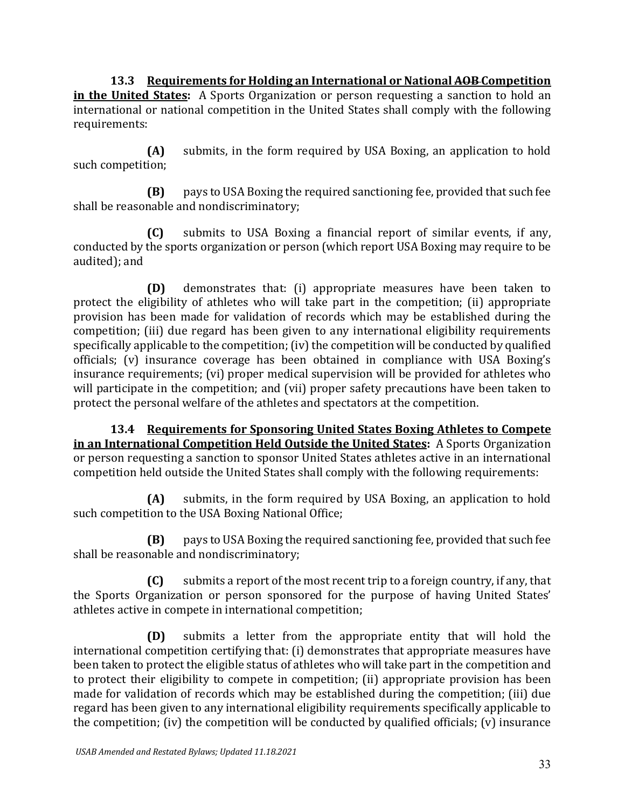**13.3 Requirements for Holding an International or National AOB Competition in the United States:** A Sports Organization or person requesting a sanction to hold an international or national competition in the United States shall comply with the following requirements:

**(A)** submits, in the form required by USA Boxing, an application to hold such competition;

**(B)** pays to USA Boxing the required sanctioning fee, provided that such fee shall be reasonable and nondiscriminatory;

**(C)** submits to USA Boxing a financial report of similar events, if any, conducted by the sports organization or person (which report USA Boxing may require to be audited); and

**(D)** demonstrates that: (i) appropriate measures have been taken to protect the eligibility of athletes who will take part in the competition; (ii) appropriate provision has been made for validation of records which may be established during the competition; (iii) due regard has been given to any international eligibility requirements specifically applicable to the competition; (iv) the competition will be conducted by qualified officials; (v) insurance coverage has been obtained in compliance with USA Boxing's insurance requirements; (vi) proper medical supervision will be provided for athletes who will participate in the competition; and (vii) proper safety precautions have been taken to protect the personal welfare of the athletes and spectators at the competition.

**13.4 Requirements for Sponsoring United States Boxing Athletes to Compete in an International Competition Held Outside the United States:** A Sports Organization or person requesting a sanction to sponsor United States athletes active in an international competition held outside the United States shall comply with the following requirements:

**(A)** submits, in the form required by USA Boxing, an application to hold such competition to the USA Boxing National Office;

**(B)** pays to USA Boxing the required sanctioning fee, provided that such fee shall be reasonable and nondiscriminatory;

**(C)** submits a report of the most recent trip to a foreign country, if any, that the Sports Organization or person sponsored for the purpose of having United States' athletes active in compete in international competition;

**(D)** submits a letter from the appropriate entity that will hold the international competition certifying that: (i) demonstrates that appropriate measures have been taken to protect the eligible status of athletes who will take part in the competition and to protect their eligibility to compete in competition; (ii) appropriate provision has been made for validation of records which may be established during the competition; (iii) due regard has been given to any international eligibility requirements specifically applicable to the competition; (iv) the competition will be conducted by qualified officials; (v) insurance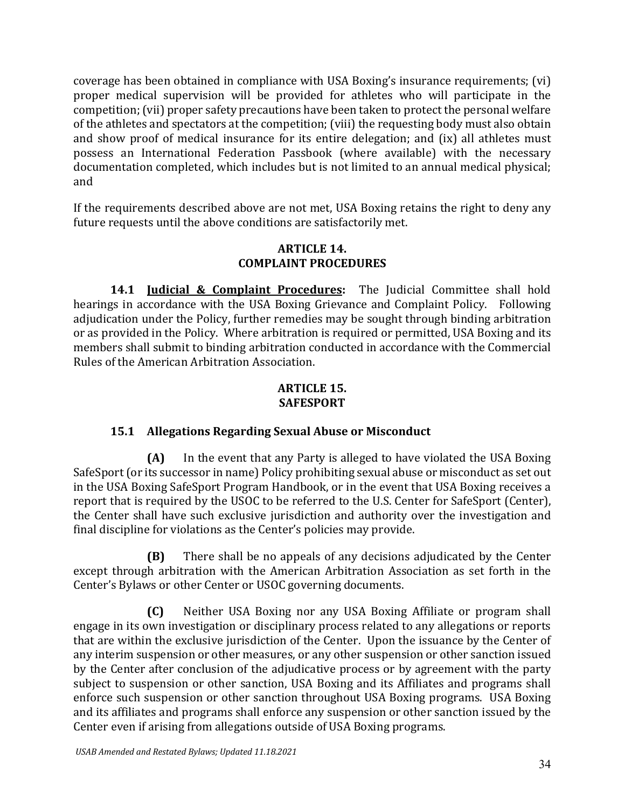coverage has been obtained in compliance with USA Boxing's insurance requirements; (vi) proper medical supervision will be provided for athletes who will participate in the competition; (vii) proper safety precautions have been taken to protect the personal welfare of the athletes and spectators at the competition; (viii) the requesting body must also obtain and show proof of medical insurance for its entire delegation; and (ix) all athletes must possess an International Federation Passbook (where available) with the necessary documentation completed, which includes but is not limited to an annual medical physical; and

If the requirements described above are not met, USA Boxing retains the right to deny any future requests until the above conditions are satisfactorily met.

## **ARTICLE 14. COMPLAINT PROCEDURES**

**14.1 Judicial & Complaint Procedures:** The Judicial Committee shall hold hearings in accordance with the USA Boxing Grievance and Complaint Policy.Following adjudication under the Policy, further remedies may be sought through binding arbitration or as provided in the Policy. Where arbitration is required or permitted, USA Boxing and its members shall submit to binding arbitration conducted in accordance with the Commercial Rules of the American Arbitration Association.

## **ARTICLE 15. SAFESPORT**

# **15.1 Allegations Regarding Sexual Abuse or Misconduct**

**(A)** In the event that any Party is alleged to have violated the USA Boxing SafeSport (or its successor in name) Policy prohibiting sexual abuse or misconduct as set out in the USA Boxing SafeSport Program Handbook, or in the event that USA Boxing receives a report that is required by the USOC to be referred to the U.S. Center for SafeSport (Center), the Center shall have such exclusive jurisdiction and authority over the investigation and final discipline for violations as the Center's policies may provide.

**(B)** There shall be no appeals of any decisions adjudicated by the Center except through arbitration with the American Arbitration Association as set forth in the Center's Bylaws or other Center or USOC governing documents.

**(C)** Neither USA Boxing nor any USA Boxing Affiliate or program shall engage in its own investigation or disciplinary process related to any allegations or reports that are within the exclusive jurisdiction of the Center. Upon the issuance by the Center of any interim suspension or other measures, or any other suspension or other sanction issued by the Center after conclusion of the adjudicative process or by agreement with the party subject to suspension or other sanction, USA Boxing and its Affiliates and programs shall enforce such suspension or other sanction throughout USA Boxing programs. USA Boxing and its affiliates and programs shall enforce any suspension or other sanction issued by the Center even if arising from allegations outside of USA Boxing programs.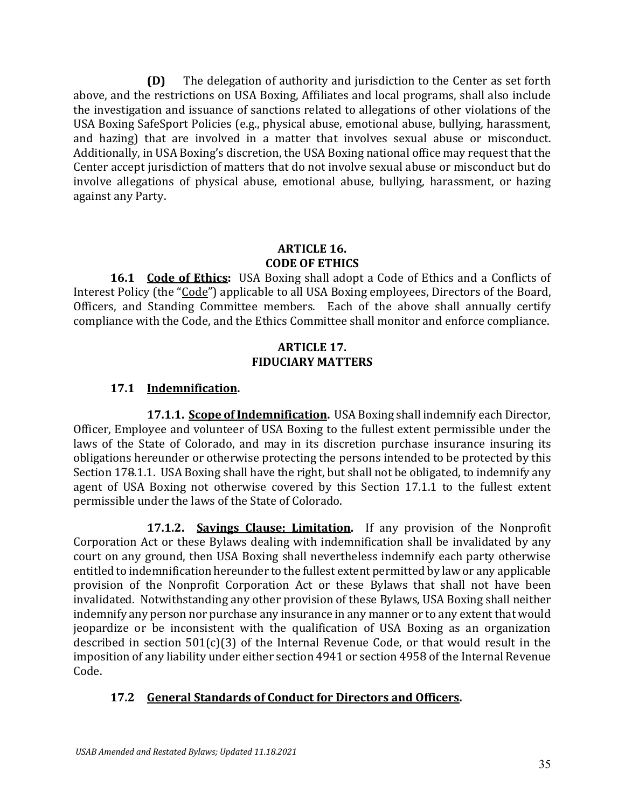**(D)** The delegation of authority and jurisdiction to the Center as set forth above, and the restrictions on USA Boxing, Affiliates and local programs, shall also include the investigation and issuance of sanctions related to allegations of other violations of the USA Boxing SafeSport Policies (e.g., physical abuse, emotional abuse, bullying, harassment, and hazing) that are involved in a matter that involves sexual abuse or misconduct. Additionally, in USA Boxing's discretion, the USA Boxing national office may request that the Center accept jurisdiction of matters that do not involve sexual abuse or misconduct but do involve allegations of physical abuse, emotional abuse, bullying, harassment, or hazing against any Party.

## **ARTICLE 16. CODE OF ETHICS**

**16.1 Code of Ethics:** USA Boxing shall adopt a Code of Ethics and a Conflicts of Interest Policy (the "Code") applicable to all USA Boxing employees, Directors of the Board, Officers, and Standing Committee members. Each of the above shall annually certify compliance with the Code, and the Ethics Committee shall monitor and enforce compliance.

#### **ARTICLE 17. FIDUCIARY MATTERS**

# **17.1 Indemnification.**

**17.1.1. Scope of Indemnification.** USA Boxing shall indemnify each Director, Officer, Employee and volunteer of USA Boxing to the fullest extent permissible under the laws of the State of Colorado, and may in its discretion purchase insurance insuring its obligations hereunder or otherwise protecting the persons intended to be protected by this Section 178.1.1. USA Boxing shall have the right, but shall not be obligated, to indemnify any agent of USA Boxing not otherwise covered by this Section 17.1.1 to the fullest extent permissible under the laws of the State of Colorado.

**17.1.2. Savings Clause; Limitation.** If any provision of the Nonprofit Corporation Act or these Bylaws dealing with indemnification shall be invalidated by any court on any ground, then USA Boxing shall nevertheless indemnify each party otherwise entitled to indemnification hereunder to the fullest extent permitted by law or any applicable provision of the Nonprofit Corporation Act or these Bylaws that shall not have been invalidated. Notwithstanding any other provision of these Bylaws, USA Boxing shall neither indemnify any person nor purchase any insurance in any manner or to any extent that would jeopardize or be inconsistent with the qualification of USA Boxing as an organization described in section 501(c)(3) of the Internal Revenue Code, or that would result in the imposition of any liability under either section 4941 or section 4958 of the Internal Revenue Code.

# **17.2 General Standards of Conduct for Directors and Officers.**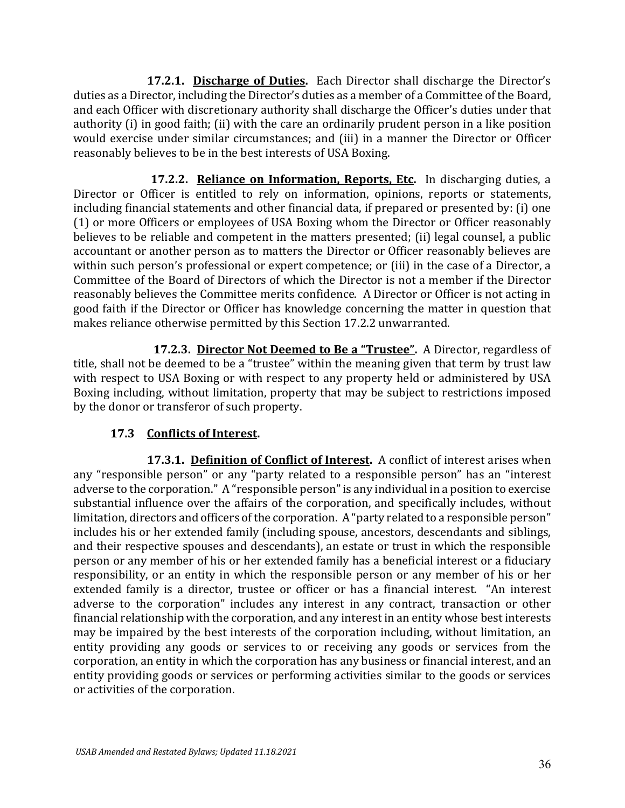**17.2.1. Discharge of Duties.** Each Director shall discharge the Director's duties as a Director, including the Director's duties as a member of a Committee of the Board, and each Officer with discretionary authority shall discharge the Officer's duties under that authority (i) in good faith; (ii) with the care an ordinarily prudent person in a like position would exercise under similar circumstances; and (iii) in a manner the Director or Officer reasonably believes to be in the best interests of USA Boxing.

 **17.2.2. Reliance on Information, Reports, Etc.** In discharging duties, a Director or Officer is entitled to rely on information, opinions, reports or statements, including financial statements and other financial data, if prepared or presented by: (i) one (1) or more Officers or employees of USA Boxing whom the Director or Officer reasonably believes to be reliable and competent in the matters presented; (ii) legal counsel, a public accountant or another person as to matters the Director or Officer reasonably believes are within such person's professional or expert competence; or (iii) in the case of a Director, a Committee of the Board of Directors of which the Director is not a member if the Director reasonably believes the Committee merits confidence. A Director or Officer is not acting in good faith if the Director or Officer has knowledge concerning the matter in question that makes reliance otherwise permitted by this Section 17.2.2 unwarranted.

 **17.2.3. Director Not Deemed to Be a "Trustee".** A Director, regardless of title, shall not be deemed to be a "trustee" within the meaning given that term by trust law with respect to USA Boxing or with respect to any property held or administered by USA Boxing including, without limitation, property that may be subject to restrictions imposed by the donor or transferor of such property.

## **17.3 Conflicts of Interest.**

**17.3.1. Definition of Conflict of Interest.** A conflict of interest arises when any "responsible person" or any "party related to a responsible person" has an "interest adverse to the corporation." A "responsible person" is any individual in a position to exercise substantial influence over the affairs of the corporation, and specifically includes, without limitation, directors and officers of the corporation. A "party related to a responsible person" includes his or her extended family (including spouse, ancestors, descendants and siblings, and their respective spouses and descendants), an estate or trust in which the responsible person or any member of his or her extended family has a beneficial interest or a fiduciary responsibility, or an entity in which the responsible person or any member of his or her extended family is a director, trustee or officer or has a financial interest. "An interest adverse to the corporation" includes any interest in any contract, transaction or other financial relationship with the corporation, and any interest in an entity whose best interests may be impaired by the best interests of the corporation including, without limitation, an entity providing any goods or services to or receiving any goods or services from the corporation, an entity in which the corporation has any business or financial interest, and an entity providing goods or services or performing activities similar to the goods or services or activities of the corporation.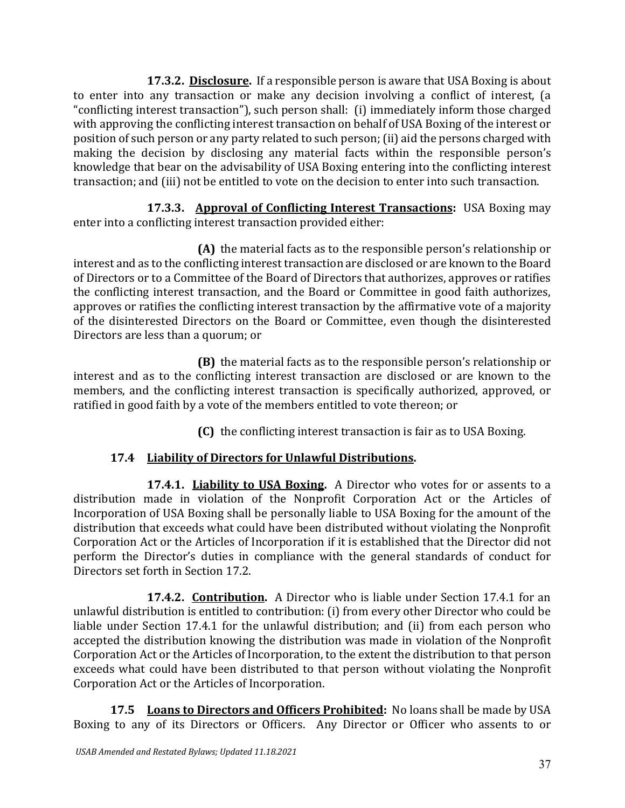**17.3.2. Disclosure.** If a responsible person is aware that USA Boxing is about to enter into any transaction or make any decision involving a conflict of interest, (a "conflicting interest transaction"), such person shall: (i) immediately inform those charged with approving the conflicting interest transaction on behalf of USA Boxing of the interest or position of such person or any party related to such person; (ii) aid the persons charged with making the decision by disclosing any material facts within the responsible person's knowledge that bear on the advisability of USA Boxing entering into the conflicting interest transaction; and (iii) not be entitled to vote on the decision to enter into such transaction.

**17.3.3. Approval of Conflicting Interest Transactions:** USA Boxing may enter into a conflicting interest transaction provided either:

**(A)** the material facts as to the responsible person's relationship or interest and as to the conflicting interest transaction are disclosed or are known to the Board of Directors or to a Committee of the Board of Directors that authorizes, approves or ratifies the conflicting interest transaction, and the Board or Committee in good faith authorizes, approves or ratifies the conflicting interest transaction by the affirmative vote of a majority of the disinterested Directors on the Board or Committee, even though the disinterested Directors are less than a quorum; or

**(B)** the material facts as to the responsible person's relationship or interest and as to the conflicting interest transaction are disclosed or are known to the members, and the conflicting interest transaction is specifically authorized, approved, or ratified in good faith by a vote of the members entitled to vote thereon; or

**(C)** the conflicting interest transaction is fair as to USA Boxing.

# **17.4 Liability of Directors for Unlawful Distributions.**

**17.4.1. Liability to USA Boxing.** A Director who votes for or assents to a distribution made in violation of the Nonprofit Corporation Act or the Articles of Incorporation of USA Boxing shall be personally liable to USA Boxing for the amount of the distribution that exceeds what could have been distributed without violating the Nonprofit Corporation Act or the Articles of Incorporation if it is established that the Director did not perform the Director's duties in compliance with the general standards of conduct for Directors set forth in Section 17.2.

**17.4.2. Contribution.** A Director who is liable under Section 17.4.1 for an unlawful distribution is entitled to contribution: (i) from every other Director who could be liable under Section 17.4.1 for the unlawful distribution; and (ii) from each person who accepted the distribution knowing the distribution was made in violation of the Nonprofit Corporation Act or the Articles of Incorporation, to the extent the distribution to that person exceeds what could have been distributed to that person without violating the Nonprofit Corporation Act or the Articles of Incorporation.

**17.5 Loans to Directors and Officers Prohibited:** No loans shall be made by USA Boxing to any of its Directors or Officers. Any Director or Officer who assents to or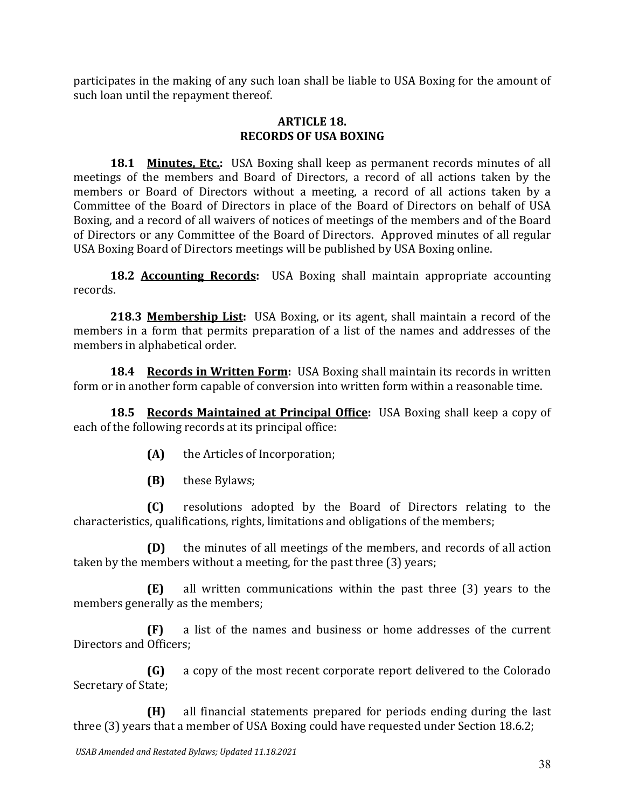participates in the making of any such loan shall be liable to USA Boxing for the amount of such loan until the repayment thereof.

#### **ARTICLE 18. RECORDS OF USA BOXING**

**18.1 Minutes, Etc.:** USA Boxing shall keep as permanent records minutes of all meetings of the members and Board of Directors, a record of all actions taken by the members or Board of Directors without a meeting, a record of all actions taken by a Committee of the Board of Directors in place of the Board of Directors on behalf of USA Boxing, and a record of all waivers of notices of meetings of the members and of the Board of Directors or any Committee of the Board of Directors. Approved minutes of all regular USA Boxing Board of Directors meetings will be published by USA Boxing online.

**18.2 Accounting Records:** USA Boxing shall maintain appropriate accounting records.

**218.3 Membership List:** USA Boxing, or its agent, shall maintain a record of the members in a form that permits preparation of a list of the names and addresses of the members in alphabetical order.

**18.4 Records in Written Form:** USA Boxing shall maintain its records in written form or in another form capable of conversion into written form within a reasonable time.

**18.5 Records Maintained at Principal Office:** USA Boxing shall keep a copy of each of the following records at its principal office:

- **(A)** the Articles of Incorporation;
- **(B)** these Bylaws;

**(C)** resolutions adopted by the Board of Directors relating to the characteristics, qualifications, rights, limitations and obligations of the members;

**(D)** the minutes of all meetings of the members, and records of all action taken by the members without a meeting, for the past three (3) years;

**(E)** all written communications within the past three (3) years to the members generally as the members;

**(F)** a list of the names and business or home addresses of the current Directors and Officers;

**(G)** a copy of the most recent corporate report delivered to the Colorado Secretary of State;

**(H)** all financial statements prepared for periods ending during the last three (3) years that a member of USA Boxing could have requested under Section 18.6.2;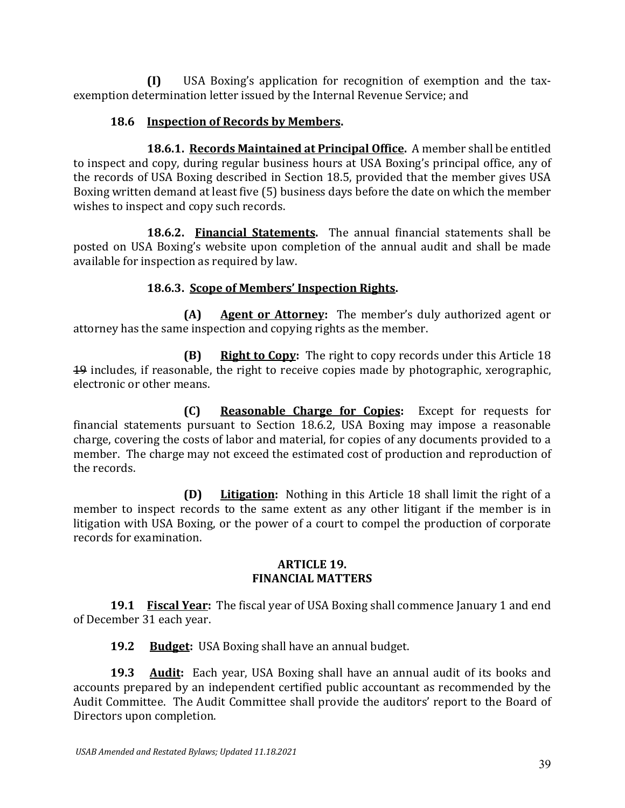**(I)** USA Boxing's application for recognition of exemption and the taxexemption determination letter issued by the Internal Revenue Service; and

## **18.6 Inspection of Records by Members.**

**18.6.1. Records Maintained at Principal Office.** A member shall be entitled to inspect and copy, during regular business hours at USA Boxing's principal office, any of the records of USA Boxing described in Section 18.5, provided that the member gives USA Boxing written demand at least five (5) business days before the date on which the member wishes to inspect and copy such records.

**18.6.2. Financial Statements.** The annual financial statements shall be posted on USA Boxing's website upon completion of the annual audit and shall be made available for inspection as required by law.

# **18.6.3. Scope of Members' Inspection Rights.**

**(A) Agent or Attorney:** The member's duly authorized agent or attorney has the same inspection and copying rights as the member.

**(B) Right to Copy:** The right to copy records under this Article 18 19 includes, if reasonable, the right to receive copies made by photographic, xerographic, electronic or other means.

**(C) Reasonable Charge for Copies:** Except for requests for financial statements pursuant to Section 18.6.2, USA Boxing may impose a reasonable charge, covering the costs of labor and material, for copies of any documents provided to a member. The charge may not exceed the estimated cost of production and reproduction of the records.

**(D) Litigation:** Nothing in this Article 18 shall limit the right of a member to inspect records to the same extent as any other litigant if the member is in litigation with USA Boxing, or the power of a court to compel the production of corporate records for examination.

#### **ARTICLE 19. FINANCIAL MATTERS**

**19.1 Fiscal Year:** The fiscal year of USA Boxing shall commence January 1 and end of December 31 each year.

**19.2 Budget:** USA Boxing shall have an annual budget.

**19.3 Audit:** Each year, USA Boxing shall have an annual audit of its books and accounts prepared by an independent certified public accountant as recommended by the Audit Committee. The Audit Committee shall provide the auditors' report to the Board of Directors upon completion.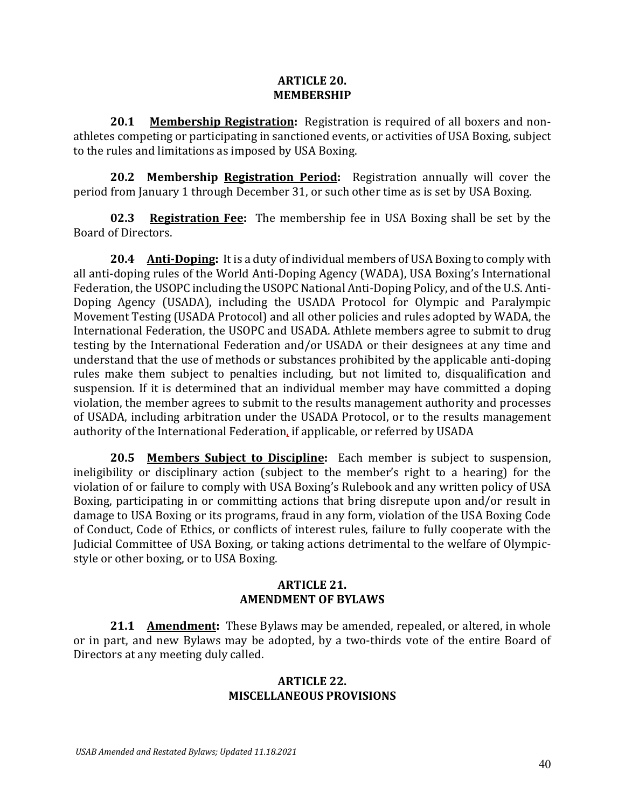#### **ARTICLE 20. MEMBERSHIP**

**20.1 Membership Registration:** Registration is required of all boxers and nonathletes competing or participating in sanctioned events, or activities of USA Boxing, subject to the rules and limitations as imposed by USA Boxing.

**20.2 Membership Registration Period:** Registration annually will cover the period from January 1 through December 31, or such other time as is set by USA Boxing.

**02.3 Registration Fee:** The membership fee in USA Boxing shall be set by the Board of Directors.

**20.4 Anti-Doping:** It is a duty of individual members of USA Boxing to comply with all anti-doping rules of the World Anti-Doping Agency (WADA), USA Boxing's International Federation, the USOPC including the USOPC National Anti-Doping Policy, and of the U.S. Anti-Doping Agency (USADA), including the USADA Protocol for Olympic and Paralympic Movement Testing (USADA Protocol) and all other policies and rules adopted by WADA, the International Federation, the USOPC and USADA. Athlete members agree to submit to drug testing by the International Federation and/or USADA or their designees at any time and understand that the use of methods or substances prohibited by the applicable anti-doping rules make them subject to penalties including, but not limited to, disqualification and suspension. If it is determined that an individual member may have committed a doping violation, the member agrees to submit to the results management authority and processes of USADA, including arbitration under the USADA Protocol, or to the results management authority of the International Federation, if applicable, or referred by USADA

**20.5 Members Subject to Discipline:** Each member is subject to suspension, ineligibility or disciplinary action (subject to the member's right to a hearing) for the violation of or failure to comply with USA Boxing's Rulebook and any written policy of USA Boxing, participating in or committing actions that bring disrepute upon and/or result in damage to USA Boxing or its programs, fraud in any form, violation of the USA Boxing Code of Conduct, Code of Ethics, or conflicts of interest rules, failure to fully cooperate with the Judicial Committee of USA Boxing, or taking actions detrimental to the welfare of Olympicstyle or other boxing, or to USA Boxing.

### **ARTICLE 21. AMENDMENT OF BYLAWS**

**21.1 Amendment:** These Bylaws may be amended, repealed, or altered, in whole or in part, and new Bylaws may be adopted, by a two-thirds vote of the entire Board of Directors at any meeting duly called.

#### **ARTICLE 22. MISCELLANEOUS PROVISIONS**